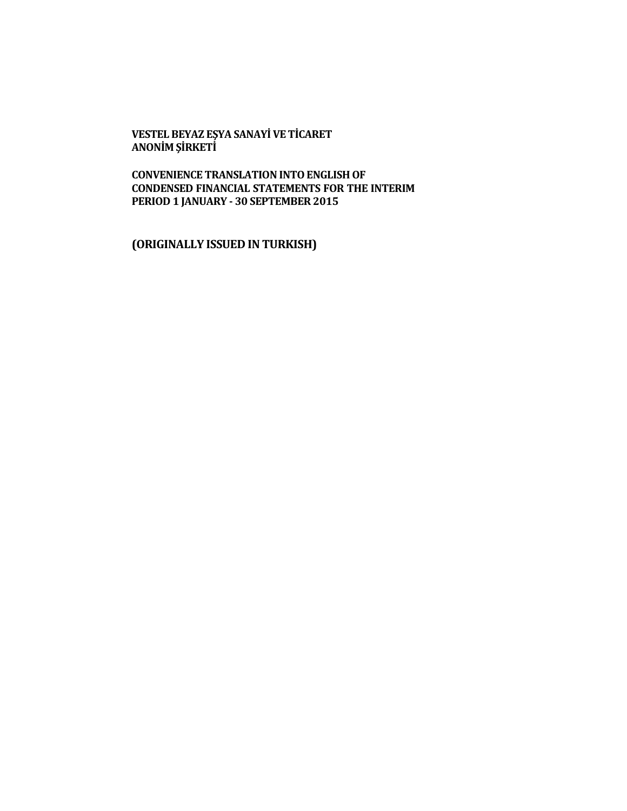#### **VESTEL BEYAZ EŞYA SANAYİ VE TİCARET ANONİM ŞİRKETİ**

**CONVENIENCE TRANSLATION INTO ENGLISH OF CONDENSED FINANCIAL STATEMENTS FOR THE INTERIM PERIOD 1 JANUARY - 30 SEPTEMBER 2015**

**(ORIGINALLY ISSUED IN TURKISH)**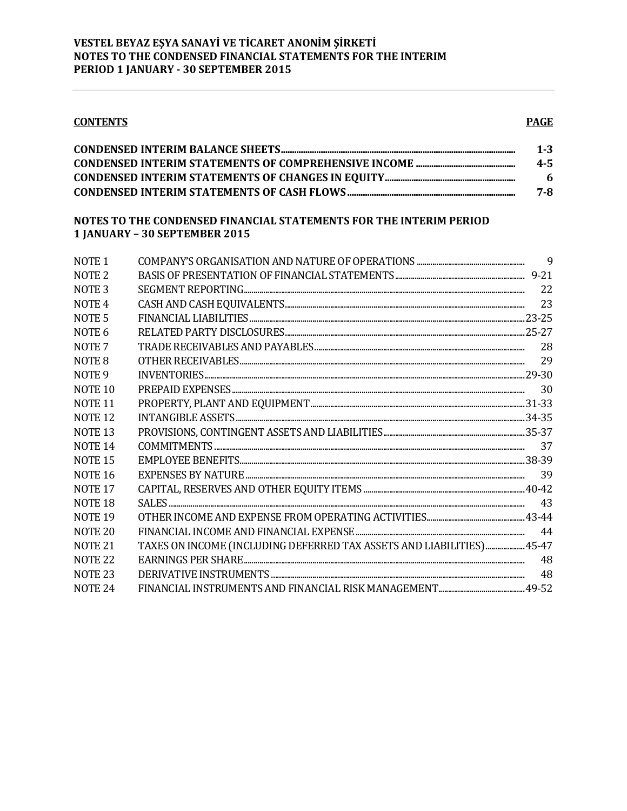### **PAGE**

| $1 - 3$ |
|---------|
| $4 - 5$ |
| -6      |
| 7-8     |

## NOTES TO THE CONDENSED FINANCIAL STATEMENTS FOR THE INTERIM PERIOD 1 JANUARY - 30 SEPTEMBER 2015

| NOTE <sub>1</sub>  |                                                                        |     |
|--------------------|------------------------------------------------------------------------|-----|
| NOTE <sub>2</sub>  |                                                                        |     |
| NOTE <sub>3</sub>  |                                                                        | 22  |
| NOTE <sub>4</sub>  |                                                                        | 23  |
| NOTE <sub>5</sub>  |                                                                        |     |
| NOTE 6             |                                                                        |     |
| NOTE <sub>7</sub>  |                                                                        | 28  |
| NOTE 8             |                                                                        |     |
| NOTE <sub>9</sub>  |                                                                        |     |
| NOTE <sub>10</sub> |                                                                        | 30  |
| NOTE <sub>11</sub> |                                                                        |     |
| NOTE <sub>12</sub> |                                                                        |     |
| NOTE <sub>13</sub> |                                                                        |     |
| <b>NOTE 14</b>     |                                                                        | -37 |
| NOTE <sub>15</sub> |                                                                        |     |
| NOTE <sub>16</sub> |                                                                        | 39  |
| NOTE <sub>17</sub> |                                                                        |     |
| NOTE <sub>18</sub> |                                                                        | 43  |
| NOTE <sub>19</sub> |                                                                        |     |
| NOTE <sub>20</sub> |                                                                        | 44  |
| <b>NOTE 21</b>     | TAXES ON INCOME (INCLUDING DEFERRED TAX ASSETS AND LIABILITIES)  45-47 |     |
| NOTE <sub>22</sub> |                                                                        | 48  |
| NOTE <sub>23</sub> |                                                                        | 48  |
| NOTE <sub>24</sub> |                                                                        |     |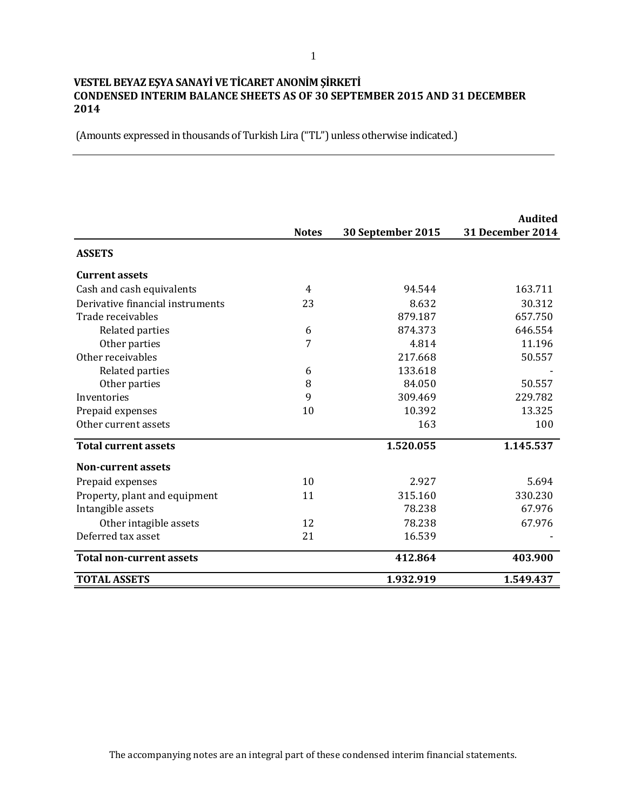## **VESTEL BEYAZ EŞYA SANAYİ VE TİCARET ANONİM ŞİRKETİ CONDENSED INTERIM BALANCE SHEETS AS OF 30 SEPTEMBER 2015 AND 31 DECEMBER 2014**

(Amounts expressed in thousands of Turkish Lira ("TL") unless otherwise indicated.)

|                                  | <b>Notes</b> | 30 September 2015 | <b>Audited</b><br><b>31 December 2014</b> |
|----------------------------------|--------------|-------------------|-------------------------------------------|
| <b>ASSETS</b>                    |              |                   |                                           |
| <b>Current assets</b>            |              |                   |                                           |
| Cash and cash equivalents        | 4            | 94.544            | 163.711                                   |
| Derivative financial instruments | 23           | 8.632             | 30.312                                    |
| Trade receivables                |              | 879.187           | 657.750                                   |
| Related parties                  | 6            | 874.373           | 646.554                                   |
| Other parties                    | 7            | 4.814             | 11.196                                    |
| Other receivables                |              | 217.668           | 50.557                                    |
| Related parties                  | 6            | 133.618           |                                           |
| Other parties                    | 8            | 84.050            | 50.557                                    |
| Inventories                      | 9            | 309.469           | 229.782                                   |
| Prepaid expenses                 | 10           | 10.392            | 13.325                                    |
| Other current assets             |              | 163               | 100                                       |
| <b>Total current assets</b>      |              | 1.520.055         | 1.145.537                                 |
| <b>Non-current assets</b>        |              |                   |                                           |
| Prepaid expenses                 | 10           | 2.927             | 5.694                                     |
| Property, plant and equipment    | 11           | 315.160           | 330.230                                   |
| Intangible assets                |              | 78.238            | 67.976                                    |
| Other intagible assets           | 12           | 78.238            | 67.976                                    |
| Deferred tax asset               | 21           | 16.539            |                                           |
| <b>Total non-current assets</b>  |              | 412.864           | 403.900                                   |
| <b>TOTAL ASSETS</b>              |              | 1.932.919         | 1.549.437                                 |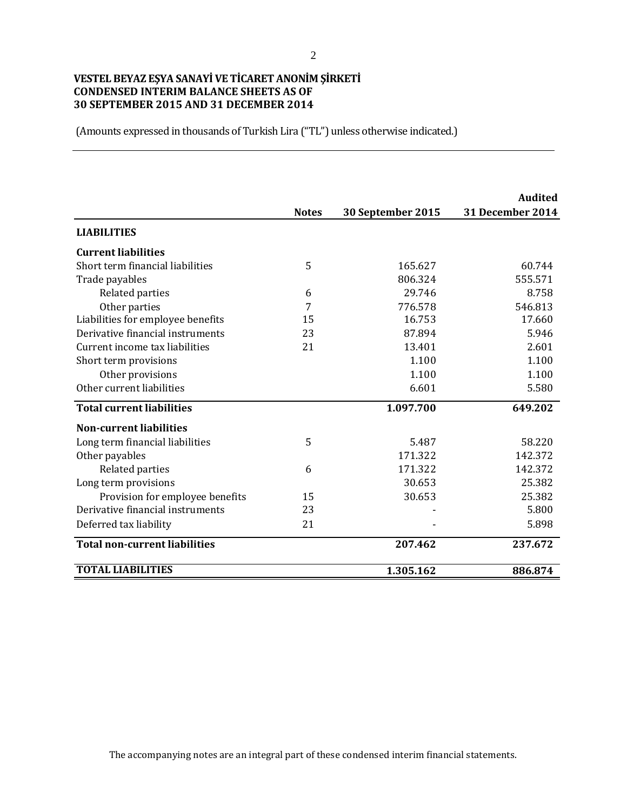# **VESTEL BEYAZ EŞYA SANAYİ VE TİCARET ANONİM ŞİRKETİ CONDENSED INTERIM BALANCE SHEETS AS OF 30 SEPTEMBER 2015 AND 31 DECEMBER 2014**

(Amounts expressed in thousands of Turkish Lira ("TL") unless otherwise indicated.)

|                                      |              |                   | <b>Audited</b>          |
|--------------------------------------|--------------|-------------------|-------------------------|
|                                      | <b>Notes</b> | 30 September 2015 | <b>31 December 2014</b> |
| <b>LIABILITIES</b>                   |              |                   |                         |
| <b>Current liabilities</b>           |              |                   |                         |
| Short term financial liabilities     | 5            | 165.627           | 60.744                  |
| Trade payables                       |              | 806.324           | 555.571                 |
| Related parties                      | 6            | 29.746            | 8.758                   |
| Other parties                        | 7            | 776.578           | 546.813                 |
| Liabilities for employee benefits    | 15           | 16.753            | 17.660                  |
| Derivative financial instruments     | 23           | 87.894            | 5.946                   |
| Current income tax liabilities       | 21           | 13.401            | 2.601                   |
| Short term provisions                |              | 1.100             | 1.100                   |
| Other provisions                     |              | 1.100             | 1.100                   |
| Other current liabilities            |              | 6.601             | 5.580                   |
| <b>Total current liabilities</b>     |              | 1.097.700         | 649.202                 |
| <b>Non-current liabilities</b>       |              |                   |                         |
| Long term financial liabilities      | 5            | 5.487             | 58.220                  |
| Other payables                       |              | 171.322           | 142.372                 |
| Related parties                      | 6            | 171.322           | 142.372                 |
| Long term provisions                 |              | 30.653            | 25.382                  |
| Provision for employee benefits      | 15           | 30.653            | 25.382                  |
| Derivative financial instruments     | 23           |                   | 5.800                   |
| Deferred tax liability               | 21           |                   | 5.898                   |
| <b>Total non-current liabilities</b> |              | 207.462           | 237.672                 |
| <b>TOTAL LIABILITIES</b>             |              | 1.305.162         | 886.874                 |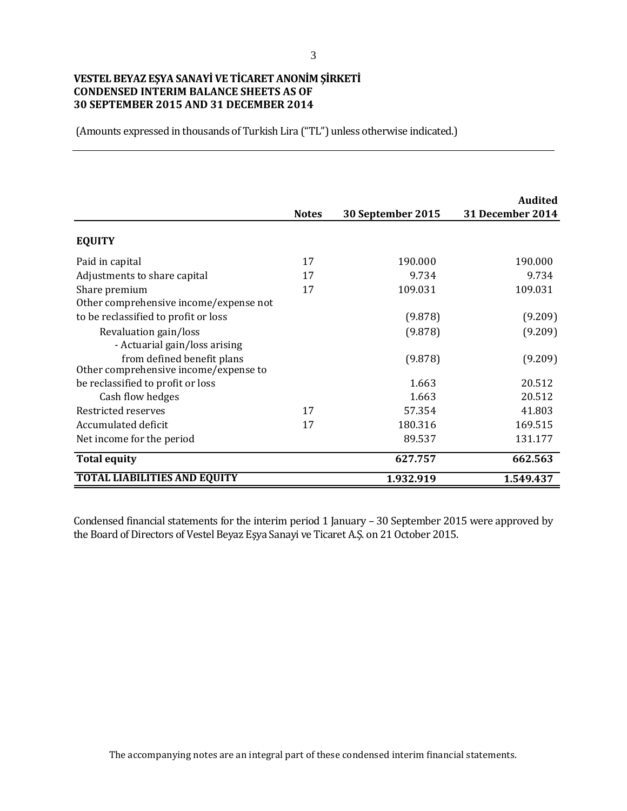# **VESTEL BEYAZ EŞYA SANAYİ VE TİCARET ANONİM ŞİRKETİ CONDENSED INTERIM BALANCE SHEETS AS OF 30 SEPTEMBER 2015 AND 31 DECEMBER 2014**

(Amounts expressed in thousands of Turkish Lira ("TL") unless otherwise indicated.)

|                                                                     | <b>Notes</b> | 30 September 2015 | Audited<br><b>31 December 2014</b> |
|---------------------------------------------------------------------|--------------|-------------------|------------------------------------|
| <b>EQUITY</b>                                                       |              |                   |                                    |
| Paid in capital                                                     | 17           | 190.000           | 190.000                            |
| Adjustments to share capital                                        | 17           | 9.734             | 9.734                              |
| Share premium                                                       | 17           | 109.031           | 109.031                            |
| Other comprehensive income/expense not                              |              |                   |                                    |
| to be reclassified to profit or loss                                |              | (9.878)           | (9.209)                            |
| Revaluation gain/loss                                               |              | (9.878)           | (9.209)                            |
| - Actuarial gain/loss arising                                       |              |                   |                                    |
| from defined benefit plans<br>Other comprehensive income/expense to |              | (9.878)           | (9.209)                            |
| be reclassified to profit or loss                                   |              | 1.663             | 20.512                             |
| Cash flow hedges                                                    |              | 1.663             | 20.512                             |
| Restricted reserves                                                 | 17           | 57.354            | 41.803                             |
| Accumulated deficit                                                 | 17           | 180.316           | 169.515                            |
| Net income for the period                                           |              | 89.537            | 131.177                            |
| <b>Total equity</b>                                                 |              | 627.757           | 662.563                            |
| <b>TOTAL LIABILITIES AND EQUITY</b>                                 |              | 1.932.919         | 1.549.437                          |

Condensed financial statements for the interim period 1 January – 30 September 2015 were approved by the Board of Directors of Vestel Beyaz Eşya Sanayi ve Ticaret A.Ş. on 21 October 2015.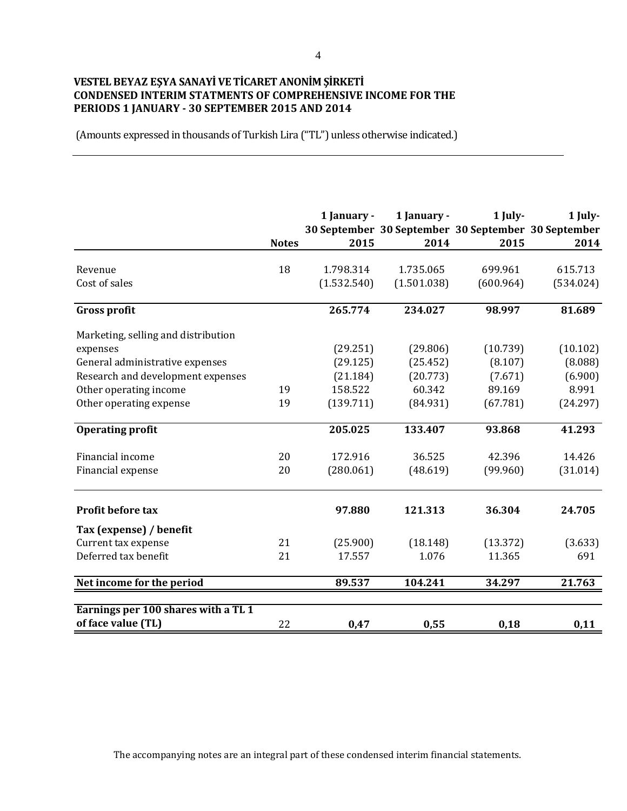## **VESTEL BEYAZ EŞYA SANAYİ VE TİCARET ANONİM ŞİRKETİ CONDENSED INTERIM STATMENTS OF COMPREHENSIVE INCOME FOR THE PERIODS 1 JANUARY - 30 SEPTEMBER 2015 AND 2014**

(Amounts expressed in thousands of Turkish Lira ("TL") unless otherwise indicated.)

|                                     | <b>Notes</b> | 1 January -<br>2015 | 1 January -<br>30 September 30 September 30 September 30 September<br>2014 | 1 July-<br>2015 | 1 July-<br>2014 |
|-------------------------------------|--------------|---------------------|----------------------------------------------------------------------------|-----------------|-----------------|
|                                     |              |                     |                                                                            |                 |                 |
| Revenue<br>Cost of sales            | 18           | 1.798.314           | 1.735.065                                                                  | 699.961         | 615.713         |
|                                     |              | (1.532.540)         | (1.501.038)                                                                | (600.964)       | (534.024)       |
| <b>Gross profit</b>                 |              | 265.774             | 234.027                                                                    | 98.997          | 81.689          |
| Marketing, selling and distribution |              |                     |                                                                            |                 |                 |
| expenses                            |              | (29.251)            | (29.806)                                                                   | (10.739)        | (10.102)        |
| General administrative expenses     |              | (29.125)            | (25.452)                                                                   | (8.107)         | (8.088)         |
| Research and development expenses   |              | (21.184)            | (20.773)                                                                   | (7.671)         | (6.900)         |
| Other operating income              | 19           | 158.522             | 60.342                                                                     | 89.169          | 8.991           |
| Other operating expense             | 19           | (139.711)           | (84.931)                                                                   | (67.781)        | (24.297)        |
| <b>Operating profit</b>             |              | 205.025             | 133.407                                                                    | 93.868          | 41.293          |
| Financial income                    | 20           | 172.916             | 36.525                                                                     | 42.396          | 14.426          |
| Financial expense                   | 20           | (280.061)           | (48.619)                                                                   | (99.960)        | (31.014)        |
| Profit before tax                   |              | 97.880              | 121.313                                                                    | 36.304          | 24.705          |
| Tax (expense) / benefit             |              |                     |                                                                            |                 |                 |
| Current tax expense                 | 21           | (25.900)            | (18.148)                                                                   | (13.372)        | (3.633)         |
| Deferred tax benefit                | 21           | 17.557              | 1.076                                                                      | 11.365          | 691             |
| Net income for the period           |              | 89.537              | 104.241                                                                    | 34.297          | 21.763          |
| Earnings per 100 shares with a TL 1 |              |                     |                                                                            |                 |                 |
| of face value (TL)                  | 22           | 0,47                | 0,55                                                                       | 0,18            | 0,11            |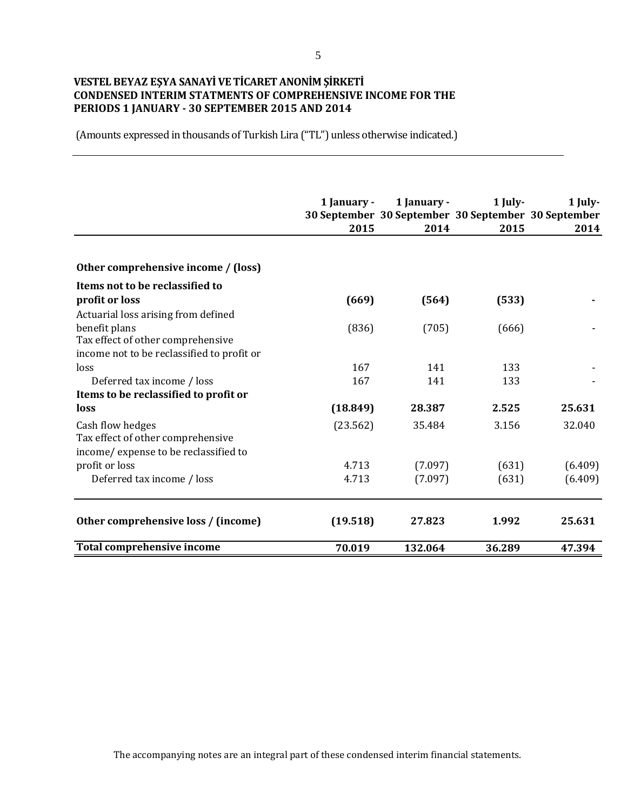## **VESTEL BEYAZ EŞYA SANAYİ VE TİCARET ANONİM ŞİRKETİ CONDENSED INTERIM STATMENTS OF COMPREHENSIVE INCOME FOR THE PERIODS 1 JANUARY - 30 SEPTEMBER 2015 AND 2014**

(Amounts expressed in thousands of Turkish Lira ("TL") unless otherwise indicated.)

|                                            | 1 January - | 1 January - | 1 July-<br>30 September 30 September 30 September 30 September | 1 July- |
|--------------------------------------------|-------------|-------------|----------------------------------------------------------------|---------|
|                                            | 2015        | 2014        | 2015                                                           | 2014    |
|                                            |             |             |                                                                |         |
| Other comprehensive income / (loss)        |             |             |                                                                |         |
| Items not to be reclassified to            |             |             |                                                                |         |
| profit or loss                             | (669)       | (564)       | (533)                                                          |         |
| Actuarial loss arising from defined        |             |             |                                                                |         |
| benefit plans                              | (836)       | (705)       | (666)                                                          |         |
| Tax effect of other comprehensive          |             |             |                                                                |         |
| income not to be reclassified to profit or |             |             |                                                                |         |
| loss                                       | 167         | 141         | 133                                                            |         |
| Deferred tax income / loss                 | 167         | 141         | 133                                                            |         |
| Items to be reclassified to profit or      |             |             |                                                                |         |
| loss                                       | (18.849)    | 28.387      | 2.525                                                          | 25.631  |
| Cash flow hedges                           | (23.562)    | 35.484      | 3.156                                                          | 32.040  |
| Tax effect of other comprehensive          |             |             |                                                                |         |
| income/ expense to be reclassified to      |             |             |                                                                |         |
| profit or loss                             | 4.713       | (7.097)     | (631)                                                          | (6.409) |
| Deferred tax income / loss                 | 4.713       | (7.097)     | (631)                                                          | (6.409) |
| Other comprehensive loss / (income)        | (19.518)    | 27.823      | 1.992                                                          | 25.631  |
| <b>Total comprehensive income</b>          | 70.019      | 132.064     | 36.289                                                         | 47.394  |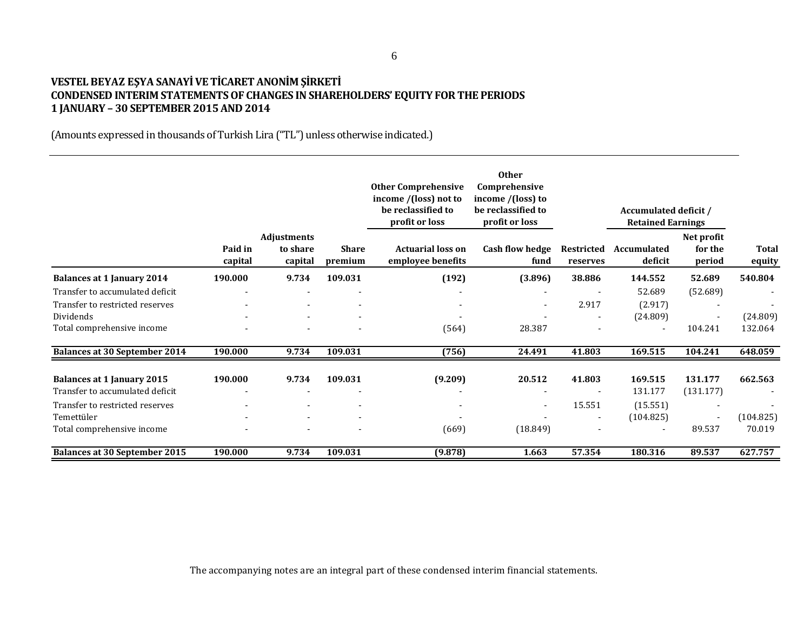## **VESTEL BEYAZ EŞYA SANAYİ VE TİCARET ANONİM ŞİRKETİ CONDENSED INTERIM STATEMENTS OF CHANGES IN SHAREHOLDERS' EQUITY FOR THE PERIODS 1 JANUARY – 30 SEPTEMBER 2015 AND 2014**

(Amounts expressed in thousands of Turkish Lira ("TL") unless otherwise indicated.)

|                                      |                    |                                    |                         | <b>Other Comprehensive</b><br>income /(loss) not to<br>be reclassified to<br>profit or loss | <b>Other</b><br>Comprehensive<br>income /(loss) to<br>be reclassified to<br>profit or loss |                               | Accumulated deficit /<br><b>Retained Earnings</b> |                                 |                        |
|--------------------------------------|--------------------|------------------------------------|-------------------------|---------------------------------------------------------------------------------------------|--------------------------------------------------------------------------------------------|-------------------------------|---------------------------------------------------|---------------------------------|------------------------|
|                                      | Paid in<br>capital | Adjustments<br>to share<br>capital | <b>Share</b><br>premium | <b>Actuarial loss on</b><br>employee benefits                                               | <b>Cash flow hedge</b><br>fund                                                             | <b>Restricted</b><br>reserves | Accumulated<br>deficit                            | Net profit<br>for the<br>period | <b>Total</b><br>equity |
| <b>Balances at 1 January 2014</b>    | 190.000            | 9.734                              | 109.031                 | (192)                                                                                       | (3.896)                                                                                    | 38.886                        | 144.552                                           | 52.689                          | 540.804                |
| Transfer to accumulated deficit      | $\blacksquare$     |                                    |                         |                                                                                             |                                                                                            |                               | 52.689                                            | (52.689)                        |                        |
| Transfer to restricted reserves      |                    |                                    |                         |                                                                                             | $\overline{\phantom{a}}$                                                                   | 2.917                         | (2.917)                                           |                                 |                        |
| Dividends                            |                    |                                    |                         |                                                                                             |                                                                                            |                               | (24.809)                                          | $\overline{\phantom{a}}$        | (24.809)               |
| Total comprehensive income           |                    |                                    |                         | (564)                                                                                       | 28.387                                                                                     |                               |                                                   | 104.241                         | 132.064                |
| <b>Balances at 30 September 2014</b> | 190.000            | 9.734                              | 109.031                 | (756)                                                                                       | 24.491                                                                                     | 41.803                        | 169.515                                           | 104.241                         | 648.059                |
| <b>Balances at 1 January 2015</b>    | 190.000            | 9.734                              | 109.031                 | (9.209)                                                                                     | 20.512                                                                                     | 41.803                        | 169.515                                           | 131.177                         | 662.563                |
| Transfer to accumulated deficit      |                    |                                    |                         |                                                                                             |                                                                                            |                               | 131.177                                           | (131.177)                       |                        |
| Transfer to restricted reserves      |                    |                                    |                         |                                                                                             | $\overline{\phantom{a}}$                                                                   | 15.551                        | (15.551)                                          | $\overline{\phantom{a}}$        |                        |
| Temettüler                           |                    |                                    |                         |                                                                                             |                                                                                            | $\overline{\phantom{a}}$      | (104.825)                                         | $\blacksquare$                  | (104.825)              |
| Total comprehensive income           |                    |                                    |                         | (669)                                                                                       | (18.849)                                                                                   |                               |                                                   | 89.537                          | 70.019                 |
| <b>Balances at 30 September 2015</b> | 190.000            | 9.734                              | 109.031                 | (9.878)                                                                                     | 1.663                                                                                      | 57.354                        | 180.316                                           | 89.537                          | 627.757                |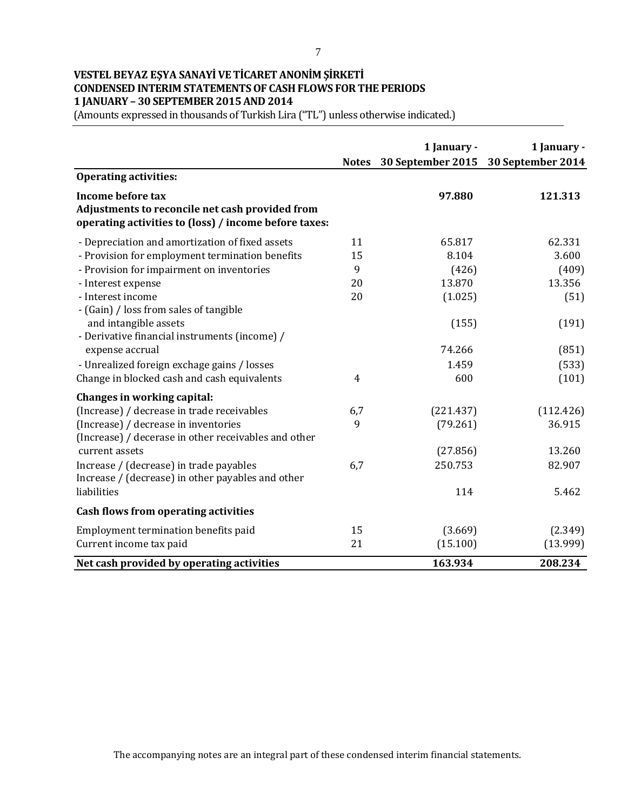# **VESTEL BEYAZ EŞYA SANAYİ VE TİCARET ANONİM ŞİRKETİ CONDENSED INTERIM STATEMENTS OF CASH FLOWS FOR THE PERIODS 1 JANUARY – 30 SEPTEMBER 2015 AND 2014**

(Amounts expressed in thousands of Turkish Lira ("TL") unless otherwise indicated.)

|                                                                                                                               | <b>Notes</b>   | 1 January - | 1 January -<br>30 September 2015 30 September 2014 |
|-------------------------------------------------------------------------------------------------------------------------------|----------------|-------------|----------------------------------------------------|
| <b>Operating activities:</b>                                                                                                  |                |             |                                                    |
| Income before tax<br>Adjustments to reconcile net cash provided from<br>operating activities to (loss) / income before taxes: |                | 97.880      | 121.313                                            |
| - Depreciation and amortization of fixed assets                                                                               | 11             | 65.817      | 62.331                                             |
| - Provision for employment termination benefits                                                                               | 15             | 8.104       | 3.600                                              |
| - Provision for impairment on inventories                                                                                     | 9              | (426)       | (409)                                              |
| - Interest expense                                                                                                            | 20             | 13.870      | 13.356                                             |
| - Interest income<br>- (Gain) / loss from sales of tangible                                                                   | 20             | (1.025)     | (51)                                               |
| and intangible assets<br>- Derivative financial instruments (income) /                                                        |                | (155)       | (191)                                              |
| expense accrual                                                                                                               |                | 74.266      | (851)                                              |
| - Unrealized foreign exchage gains / losses                                                                                   |                | 1.459       | (533)                                              |
| Change in blocked cash and cash equivalents                                                                                   | $\overline{4}$ | 600         | (101)                                              |
| Changes in working capital:                                                                                                   |                |             |                                                    |
| (Increase) / decrease in trade receivables                                                                                    | 6,7            | (221.437)   | (112.426)                                          |
| (Increase) / decrease in inventories<br>(Increase) / decerase in other receivables and other                                  | 9              | (79.261)    | 36.915                                             |
| current assets                                                                                                                |                | (27.856)    | 13.260                                             |
| Increase / (decrease) in trade payables<br>Increase / (decrease) in other payables and other                                  | 6,7            | 250.753     | 82.907                                             |
| liabilities                                                                                                                   |                | 114         | 5.462                                              |
| Cash flows from operating activities                                                                                          |                |             |                                                    |
| Employment termination benefits paid                                                                                          | 15             | (3.669)     | (2.349)                                            |
| Current income tax paid                                                                                                       | 21             | (15.100)    | (13.999)                                           |
| Net cash provided by operating activities                                                                                     |                | 163.934     | 208.234                                            |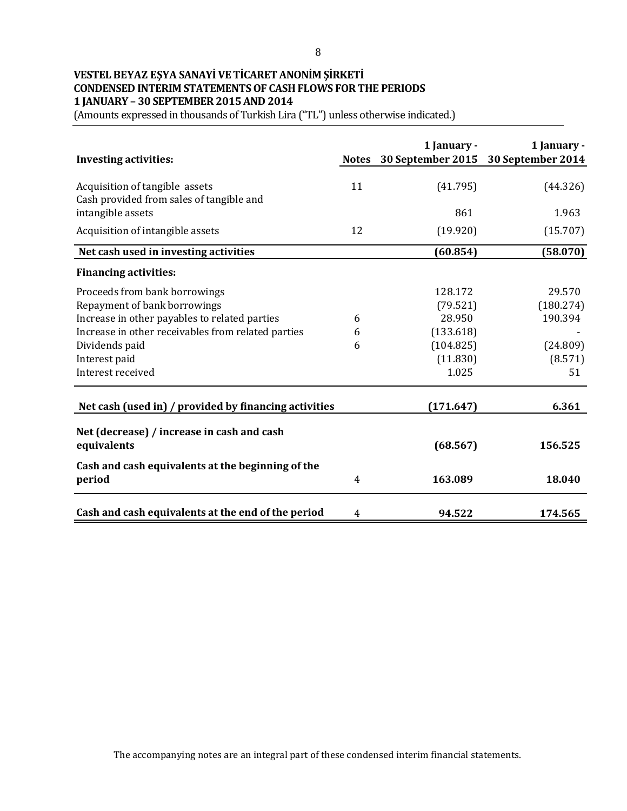## **VESTEL BEYAZ EŞYA SANAYİ VE TİCARET ANONİM ŞİRKETİ CONDENSED INTERIM STATEMENTS OF CASH FLOWS FOR THE PERIODS 1 JANUARY – 30 SEPTEMBER 2015 AND 2014**

(Amounts expressed in thousands of Turkish Lira ("TL") unless otherwise indicated.)

| <b>Investing activities:</b>                                               | <b>Notes</b> | 1 January - | 1 January -<br>30 September 2015 30 September 2014 |
|----------------------------------------------------------------------------|--------------|-------------|----------------------------------------------------|
| Acquisition of tangible assets<br>Cash provided from sales of tangible and | 11           | (41.795)    | (44.326)                                           |
| intangible assets                                                          |              | 861         | 1.963                                              |
| Acquisition of intangible assets                                           | 12           | (19.920)    | (15.707)                                           |
| Net cash used in investing activities                                      |              | (60.854)    | (58.070)                                           |
| <b>Financing activities:</b>                                               |              |             |                                                    |
| Proceeds from bank borrowings                                              |              | 128.172     | 29.570                                             |
| Repayment of bank borrowings                                               |              | (79.521)    | (180.274)                                          |
| Increase in other payables to related parties                              | 6            | 28.950      | 190.394                                            |
| Increase in other receivables from related parties                         | 6            | (133.618)   |                                                    |
| Dividends paid                                                             | 6            | (104.825)   | (24.809)                                           |
| Interest paid                                                              |              | (11.830)    | (8.571)                                            |
| Interest received                                                          |              | 1.025       | 51                                                 |
| Net cash (used in) / provided by financing activities                      |              | (171.647)   | 6.361                                              |
| Net (decrease) / increase in cash and cash<br>equivalents                  |              | (68.567)    | 156.525                                            |
| Cash and cash equivalents at the beginning of the<br>period                | 4            | 163.089     | 18.040                                             |
| Cash and cash equivalents at the end of the period                         | 4            | 94.522      | 174.565                                            |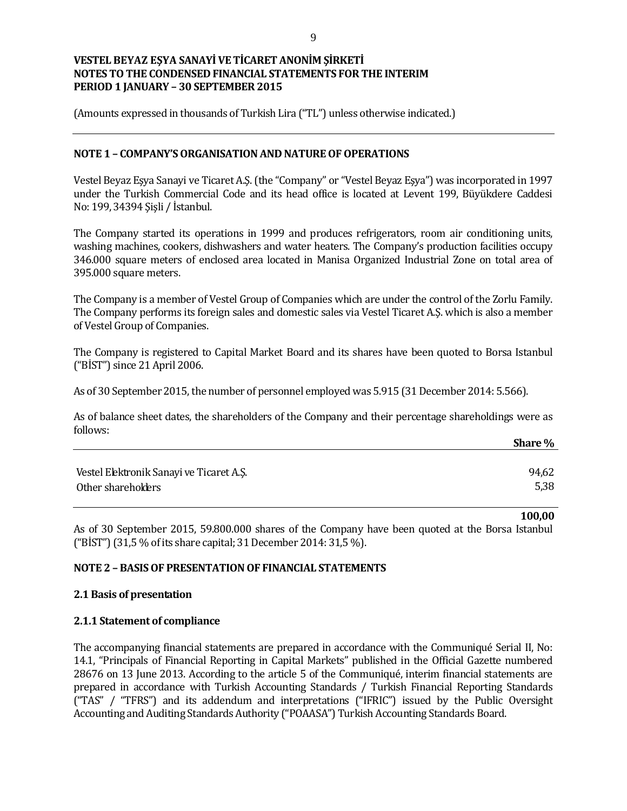(Amounts expressed in thousands of Turkish Lira ("TL") unless otherwise indicated.)

### **NOTE 1 – COMPANY'S ORGANISATION AND NATURE OF OPERATIONS**

Vestel Beyaz Eşya Sanayi ve Ticaret A.Ş. (the "Company" or "Vestel Beyaz Eşya") was incorporated in 1997 under the Turkish Commercial Code and its head office is located at Levent 199, Büyükdere Caddesi No: 199, 34394 Şişli / İstanbul.

The Company started its operations in 1999 and produces refrigerators, room air conditioning units, washing machines, cookers, dishwashers and water heaters. The Company's production facilities occupy 346.000 square meters of enclosed area located in Manisa Organized Industrial Zone on total area of 395.000 square meters.

The Company is a member of Vestel Group of Companies which are under the control of the Zorlu Family. The Company performs its foreign sales and domestic sales via Vestel Ticaret A.Ş. which is also a member of Vestel Group of Companies.

The Company is registered to Capital Market Board and its shares have been quoted to Borsa Istanbul ("BİST") since 21 April 2006.

As of 30 September 2015, the number of personnel employed was 5.915 (31 December 2014: 5.566).

As of balance sheet dates, the shareholders of the Company and their percentage shareholdings were as follows:

|                                          | Share % |
|------------------------------------------|---------|
|                                          |         |
| Vestel Elektronik Sanayi ve Ticaret A.Ş. | 94,62   |
| Other shareholders                       | 5,38    |

**100,00**

As of 30 September 2015, 59.800.000 shares of the Company have been quoted at the Borsa Istanbul ("BİST") (31,5 % of its share capital; 31 December 2014: 31,5 %).

### **NOTE 2 – BASIS OF PRESENTATION OF FINANCIAL STATEMENTS**

### **2.1 Basis of presentation**

### **2.1.1 Statement of compliance**

The accompanying financial statements are prepared in accordance with the Communiqué Serial II, No: 14.1, "Principals of Financial Reporting in Capital Markets" published in the Official Gazette numbered 28676 on 13 June 2013. According to the article 5 of the Communiqué, interim financial statements are prepared in accordance with Turkish Accounting Standards / Turkish Financial Reporting Standards ("TAS" / "TFRS") and its addendum and interpretations ("IFRIC") issued by the Public Oversight Accounting and Auditing Standards Authority ("POAASA") Turkish Accounting Standards Board.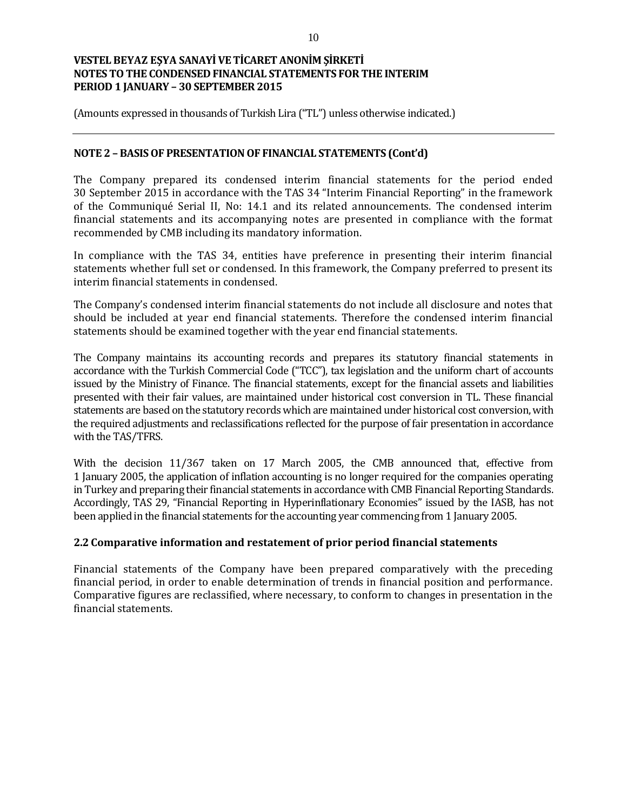(Amounts expressed in thousands of Turkish Lira ("TL") unless otherwise indicated.)

### **NOTE 2 – BASIS OF PRESENTATION OF FINANCIAL STATEMENTS (Cont'd)**

The Company prepared its condensed interim financial statements for the period ended 30 September 2015 in accordance with the TAS 34 "Interim Financial Reporting" in the framework of the Communiqué Serial II, No: 14.1 and its related announcements. The condensed interim financial statements and its accompanying notes are presented in compliance with the format recommended by CMB including its mandatory information.

In compliance with the TAS 34, entities have preference in presenting their interim financial statements whether full set or condensed. In this framework, the Company preferred to present its interim financial statements in condensed.

The Company's condensed interim financial statements do not include all disclosure and notes that should be included at year end financial statements. Therefore the condensed interim financial statements should be examined together with the year end financial statements.

The Company maintains its accounting records and prepares its statutory financial statements in accordance with the Turkish Commercial Code ("TCC"), tax legislation and the uniform chart of accounts issued by the Ministry of Finance. The financial statements, except for the financial assets and liabilities presented with their fair values, are maintained under historical cost conversion in TL. These financial statements are based on the statutory records which are maintained under historical cost conversion, with the required adjustments and reclassifications reflected for the purpose of fair presentation in accordance with the TAS/TFRS.

With the decision 11/367 taken on 17 March 2005, the CMB announced that, effective from 1 January 2005, the application of inflation accounting is no longer required for the companies operating in Turkey and preparing their financial statements in accordance with CMB Financial Reporting Standards. Accordingly, TAS 29, "Financial Reporting in Hyperinflationary Economies" issued by the IASB, has not been applied in the financial statements for the accounting year commencing from 1 January 2005.

### **2.2 Comparative information and restatement of prior period financial statements**

Financial statements of the Company have been prepared comparatively with the preceding financial period, in order to enable determination of trends in financial position and performance. Comparative figures are reclassified, where necessary, to conform to changes in presentation in the financial statements.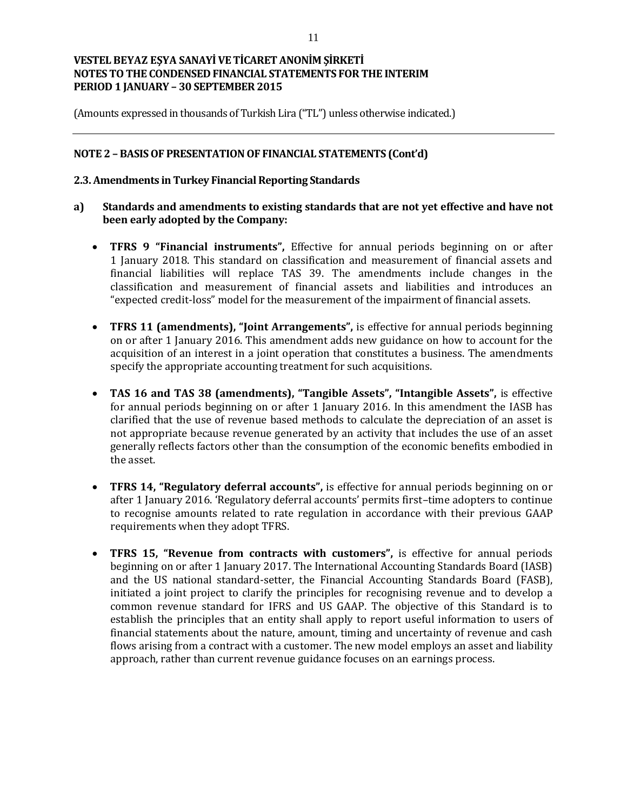(Amounts expressed in thousands of Turkish Lira ("TL") unless otherwise indicated.)

### **NOTE 2 – BASIS OF PRESENTATION OF FINANCIAL STATEMENTS (Cont'd)**

### **2.3. Amendments in Turkey Financial Reporting Standards**

- **a) Standards and amendments to existing standards that are not yet effective and have not been early adopted by the Company:**
	- **TFRS 9 "Financial instruments",** Effective for annual periods beginning on or after 1 January 2018. This standard on classification and measurement of financial assets and financial liabilities will replace TAS 39. The amendments include changes in the classification and measurement of financial assets and liabilities and introduces an "expected credit-loss" model for the measurement of the impairment of financial assets.
	- **TFRS 11 (amendments), "Joint Arrangements",** is effective for annual periods beginning on or after 1 January 2016. This amendment adds new guidance on how to account for the acquisition of an interest in a joint operation that constitutes a business. The amendments specify the appropriate accounting treatment for such acquisitions.
	- **TAS 16 and TAS 38 (amendments), "Tangible Assets", "Intangible Assets",** is effective for annual periods beginning on or after 1 January 2016. In this amendment the IASB has clarified that the use of revenue based methods to calculate the depreciation of an asset is not appropriate because revenue generated by an activity that includes the use of an asset generally reflects factors other than the consumption of the economic benefits embodied in the asset.
	- **TFRS 14, "Regulatory deferral accounts",** is effective for annual periods beginning on or after 1 January 2016. 'Regulatory deferral accounts' permits first–time adopters to continue to recognise amounts related to rate regulation in accordance with their previous GAAP requirements when they adopt TFRS.
	- **TFRS 15, "Revenue from contracts with customers",** is effective for annual periods beginning on or after 1 January 2017. The International Accounting Standards Board (IASB) and the US national standard-setter, the Financial Accounting Standards Board (FASB), initiated a joint project to clarify the principles for recognising revenue and to develop a common revenue standard for IFRS and US GAAP. The objective of this Standard is to establish the principles that an entity shall apply to report useful information to users of financial statements about the nature, amount, timing and uncertainty of revenue and cash flows arising from a contract with a customer. The new model employs an asset and liability approach, rather than current revenue guidance focuses on an earnings process.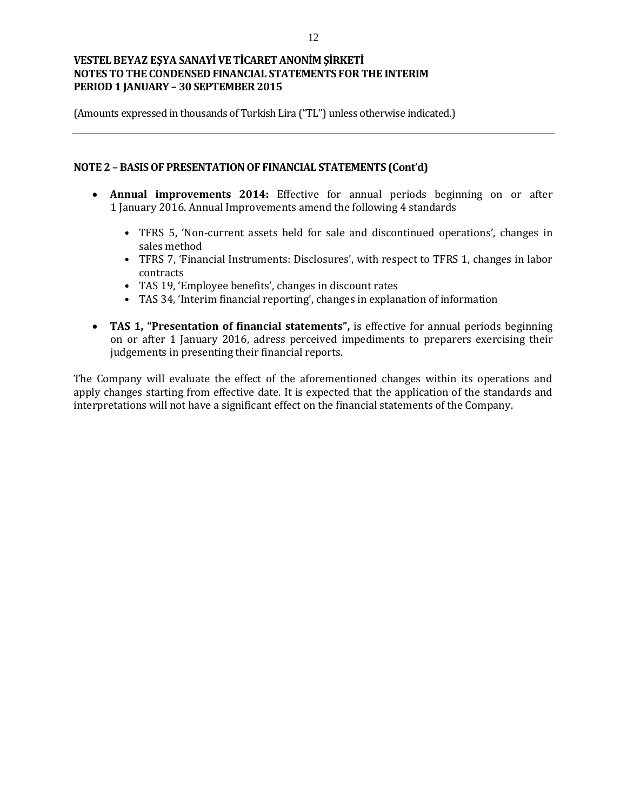(Amounts expressed in thousands of Turkish Lira ("TL") unless otherwise indicated.)

### **NOTE 2 – BASIS OF PRESENTATION OF FINANCIAL STATEMENTS (Cont'd)**

- **Annual improvements 2014:** Effective for annual periods beginning on or after 1 January 2016. Annual Improvements amend the following 4 standards
	- TFRS 5, 'Non-current assets held for sale and discontinued operations', changes in sales method
	- TFRS 7, 'Financial Instruments: Disclosures', with respect to TFRS 1, changes in labor contracts
	- TAS 19, 'Employee benefits', changes in discount rates
	- TAS 34, 'Interim financial reporting', changes in explanation of information
- **TAS 1, "Presentation of financial statements",** is effective for annual periods beginning on or after 1 January 2016, adress perceived impediments to preparers exercising their judgements in presenting their financial reports.

The Company will evaluate the effect of the aforementioned changes within its operations and apply changes starting from effective date. It is expected that the application of the standards and interpretations will not have a significant effect on the financial statements of the Company.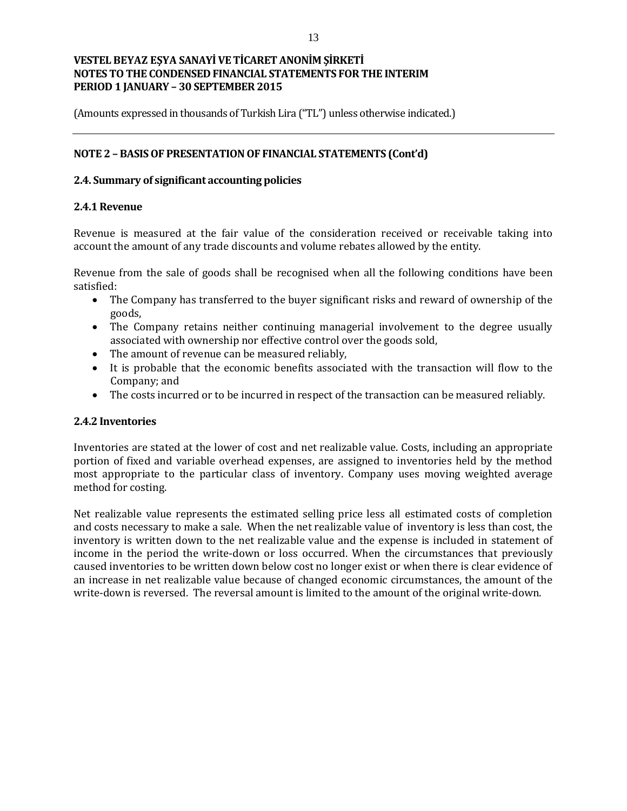(Amounts expressed in thousands of Turkish Lira ("TL") unless otherwise indicated.)

### **NOTE 2 – BASIS OF PRESENTATION OF FINANCIAL STATEMENTS (Cont'd)**

### **2.4. Summary of significant accounting policies**

### **2.4.1 Revenue**

Revenue is measured at the fair value of the consideration received or receivable taking into account the amount of any trade discounts and volume rebates allowed by the entity.

Revenue from the sale of goods shall be recognised when all the following conditions have been satisfied:

- The Company has transferred to the buyer significant risks and reward of ownership of the goods,
- The Company retains neither continuing managerial involvement to the degree usually associated with ownership nor effective control over the goods sold,
- The amount of revenue can be measured reliably,
- It is probable that the economic benefits associated with the transaction will flow to the Company; and
- The costs incurred or to be incurred in respect of the transaction can be measured reliably.

### **2.4.2 Inventories**

Inventories are stated at the lower of cost and net realizable value. Costs, including an appropriate portion of fixed and variable overhead expenses, are assigned to inventories held by the method most appropriate to the particular class of inventory. Company uses moving weighted average method for costing.

Net realizable value represents the estimated selling price less all estimated costs of completion and costs necessary to make a sale. When the net realizable value of inventory is less than cost, the inventory is written down to the net realizable value and the expense is included in statement of income in the period the write-down or loss occurred. When the circumstances that previously caused inventories to be written down below cost no longer exist or when there is clear evidence of an increase in net realizable value because of changed economic circumstances, the amount of the write-down is reversed. The reversal amount is limited to the amount of the original write-down.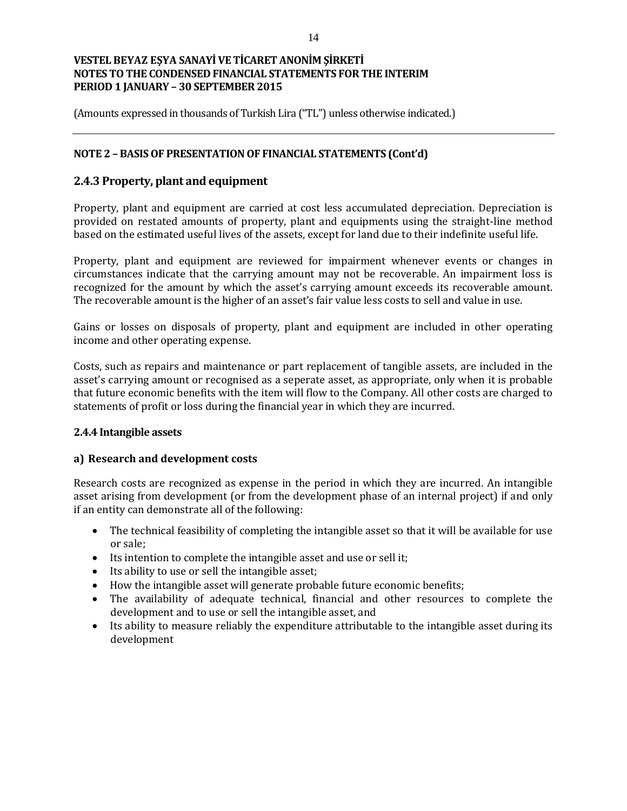(Amounts expressed in thousands of Turkish Lira ("TL") unless otherwise indicated.)

### **NOTE 2 – BASIS OF PRESENTATION OF FINANCIAL STATEMENTS (Cont'd)**

## **2.4.3 Property, plant and equipment**

Property, plant and equipment are carried at cost less accumulated depreciation. Depreciation is provided on restated amounts of property, plant and equipments using the straight-line method based on the estimated useful lives of the assets, except for land due to their indefinite useful life.

Property, plant and equipment are reviewed for impairment whenever events or changes in circumstances indicate that the carrying amount may not be recoverable. An impairment loss is recognized for the amount by which the asset's carrying amount exceeds its recoverable amount. The recoverable amount is the higher of an asset's fair value less costs to sell and value in use.

Gains or losses on disposals of property, plant and equipment are included in other operating income and other operating expense.

Costs, such as repairs and maintenance or part replacement of tangible assets, are included in the asset's carrying amount or recognised as a seperate asset, as appropriate, only when it is probable that future economic benefits with the item will flow to the Company. All other costs are charged to statements of profit or loss during the financial year in which they are incurred.

### **2.4.4 Intangible assets**

### **a) Research and development costs**

Research costs are recognized as expense in the period in which they are incurred. An intangible asset arising from development (or from the development phase of an internal project) if and only if an entity can demonstrate all of the following:

- The technical feasibility of completing the intangible asset so that it will be available for use or sale;
- Its intention to complete the intangible asset and use or sell it;
- Its ability to use or sell the intangible asset;
- How the intangible asset will generate probable future economic benefits;
- The availability of adequate technical, financial and other resources to complete the development and to use or sell the intangible asset, and
- Its ability to measure reliably the expenditure attributable to the intangible asset during its development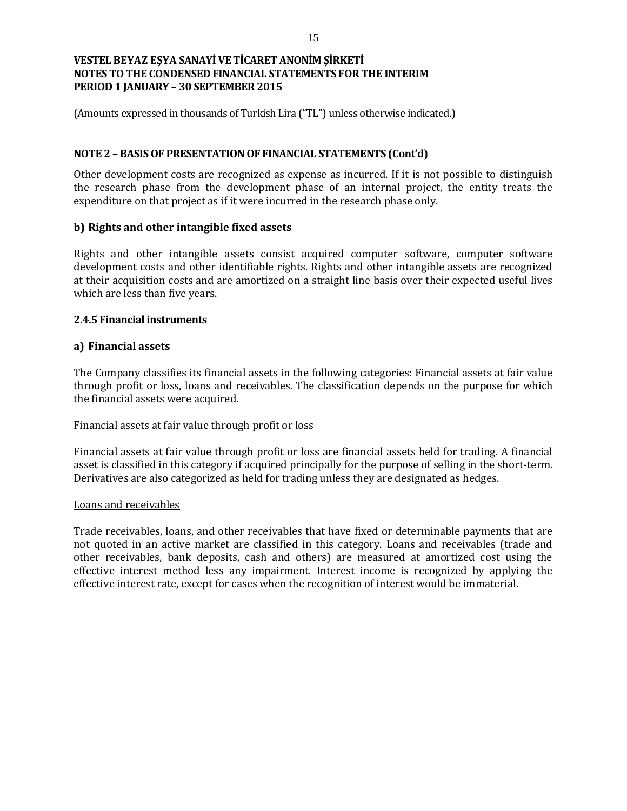(Amounts expressed in thousands of Turkish Lira ("TL") unless otherwise indicated.)

### **NOTE 2 – BASIS OF PRESENTATION OF FINANCIAL STATEMENTS (Cont'd)**

Other development costs are recognized as expense as incurred. If it is not possible to distinguish the research phase from the development phase of an internal project, the entity treats the expenditure on that project as if it were incurred in the research phase only.

### **b) Rights and other intangible fixed assets**

Rights and other intangible assets consist acquired computer software, computer software development costs and other identifiable rights. Rights and other intangible assets are recognized at their acquisition costs and are amortized on a straight line basis over their expected useful lives which are less than five years.

### **2.4.5 Financial instruments**

### **a) Financial assets**

The Company classifies its financial assets in the following categories: Financial assets at fair value through profit or loss, loans and receivables. The classification depends on the purpose for which the financial assets were acquired.

### Financial assets at fair value through profit or loss

Financial assets at fair value through profit or loss are financial assets held for trading. A financial asset is classified in this category if acquired principally for the purpose of selling in the short-term. Derivatives are also categorized as held for trading unless they are designated as hedges.

### Loans and receivables

Trade receivables, loans, and other receivables that have fixed or determinable payments that are not quoted in an active market are classified in this category. Loans and receivables (trade and other receivables, bank deposits, cash and others) are measured at amortized cost using the effective interest method less any impairment. Interest income is recognized by applying the effective interest rate, except for cases when the recognition of interest would be immaterial.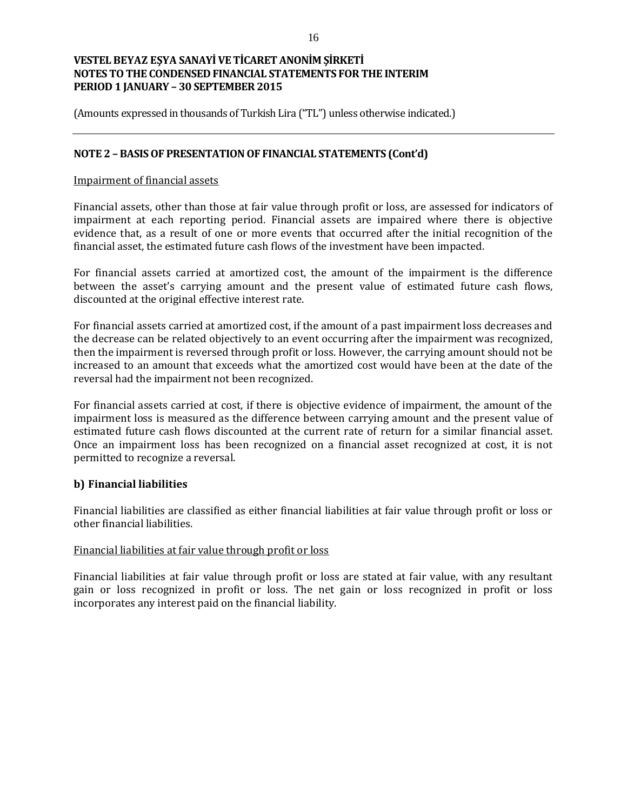(Amounts expressed in thousands of Turkish Lira ("TL") unless otherwise indicated.)

### **NOTE 2 – BASIS OF PRESENTATION OF FINANCIAL STATEMENTS (Cont'd)**

#### Impairment of financial assets

Financial assets, other than those at fair value through profit or loss, are assessed for indicators of impairment at each reporting period. Financial assets are impaired where there is objective evidence that, as a result of one or more events that occurred after the initial recognition of the financial asset, the estimated future cash flows of the investment have been impacted.

For financial assets carried at amortized cost, the amount of the impairment is the difference between the asset's carrying amount and the present value of estimated future cash flows, discounted at the original effective interest rate.

For financial assets carried at amortized cost, if the amount of a past impairment loss decreases and the decrease can be related objectively to an event occurring after the impairment was recognized, then the impairment is reversed through profit or loss. However, the carrying amount should not be increased to an amount that exceeds what the amortized cost would have been at the date of the reversal had the impairment not been recognized.

For financial assets carried at cost, if there is objective evidence of impairment, the amount of the impairment loss is measured as the difference between carrying amount and the present value of estimated future cash flows discounted at the current rate of return for a similar financial asset. Once an impairment loss has been recognized on a financial asset recognized at cost, it is not permitted to recognize a reversal.

### **b) Financial liabilities**

Financial liabilities are classified as either financial liabilities at fair value through profit or loss or other financial liabilities.

### Financial liabilities at fair value through profit or loss

Financial liabilities at fair value through profit or loss are stated at fair value, with any resultant gain or loss recognized in profit or loss. The net gain or loss recognized in profit or loss incorporates any interest paid on the financial liability.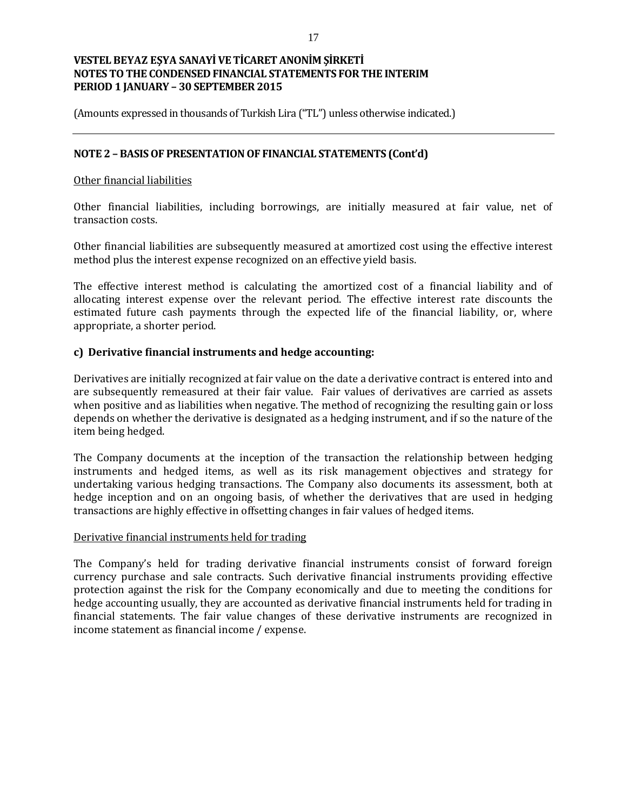(Amounts expressed in thousands of Turkish Lira ("TL") unless otherwise indicated.)

### **NOTE 2 – BASIS OF PRESENTATION OF FINANCIAL STATEMENTS (Cont'd)**

### Other financial liabilities

Other financial liabilities, including borrowings, are initially measured at fair value, net of transaction costs.

Other financial liabilities are subsequently measured at amortized cost using the effective interest method plus the interest expense recognized on an effective yield basis.

The effective interest method is calculating the amortized cost of a financial liability and of allocating interest expense over the relevant period. The effective interest rate discounts the estimated future cash payments through the expected life of the financial liability, or, where appropriate, a shorter period.

### **c) Derivative financial instruments and hedge accounting:**

Derivatives are initially recognized at fair value on the date a derivative contract is entered into and are subsequently remeasured at their fair value. Fair values of derivatives are carried as assets when positive and as liabilities when negative. The method of recognizing the resulting gain or loss depends on whether the derivative is designated as a hedging instrument, and if so the nature of the item being hedged.

The Company documents at the inception of the transaction the relationship between hedging instruments and hedged items, as well as its risk management objectives and strategy for undertaking various hedging transactions. The Company also documents its assessment, both at hedge inception and on an ongoing basis, of whether the derivatives that are used in hedging transactions are highly effective in offsetting changes in fair values of hedged items.

### Derivative financial instruments held for trading

The Company's held for trading derivative financial instruments consist of forward foreign currency purchase and sale contracts. Such derivative financial instruments providing effective protection against the risk for the Company economically and due to meeting the conditions for hedge accounting usually, they are accounted as derivative financial instruments held for trading in financial statements. The fair value changes of these derivative instruments are recognized in income statement as financial income / expense.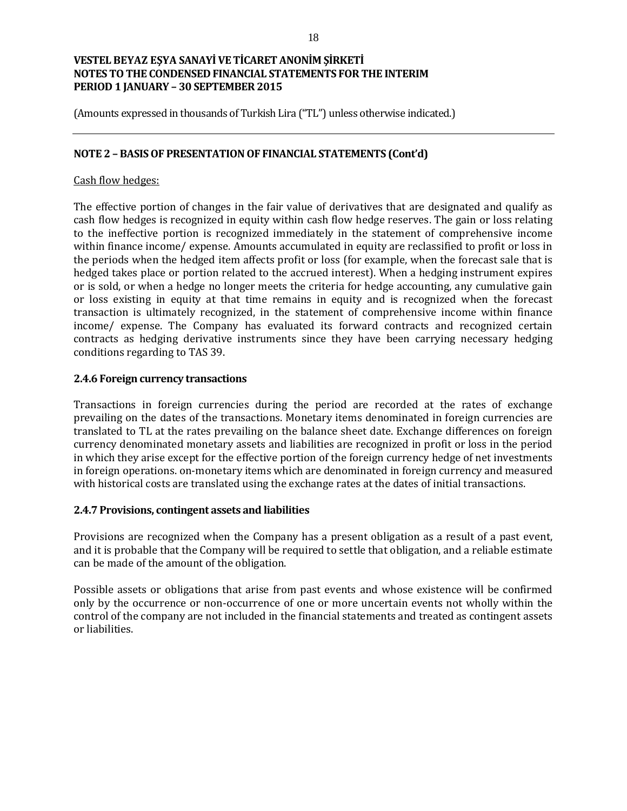(Amounts expressed in thousands of Turkish Lira ("TL") unless otherwise indicated.)

### **NOTE 2 – BASIS OF PRESENTATION OF FINANCIAL STATEMENTS (Cont'd)**

### Cash flow hedges:

The effective portion of changes in the fair value of derivatives that are designated and qualify as cash flow hedges is recognized in equity within cash flow hedge reserves. The gain or loss relating to the ineffective portion is recognized immediately in the statement of comprehensive income within finance income/ expense. Amounts accumulated in equity are reclassified to profit or loss in the periods when the hedged item affects profit or loss (for example, when the forecast sale that is hedged takes place or portion related to the accrued interest). When a hedging instrument expires or is sold, or when a hedge no longer meets the criteria for hedge accounting, any cumulative gain or loss existing in equity at that time remains in equity and is recognized when the forecast transaction is ultimately recognized, in the statement of comprehensive income within finance income/ expense. The Company has evaluated its forward contracts and recognized certain contracts as hedging derivative instruments since they have been carrying necessary hedging conditions regarding to TAS 39.

### **2.4.6 Foreign currency transactions**

Transactions in foreign currencies during the period are recorded at the rates of exchange prevailing on the dates of the transactions. Monetary items denominated in foreign currencies are translated to TL at the rates prevailing on the balance sheet date. Exchange differences on foreign currency denominated monetary assets and liabilities are recognized in profit or loss in the period in which they arise except for the effective portion of the foreign currency hedge of net investments in foreign operations. on-monetary items which are denominated in foreign currency and measured with historical costs are translated using the exchange rates at the dates of initial transactions.

### **2.4.7 Provisions, contingent assets and liabilities**

Provisions are recognized when the Company has a present obligation as a result of a past event, and it is probable that the Company will be required to settle that obligation, and a reliable estimate can be made of the amount of the obligation.

Possible assets or obligations that arise from past events and whose existence will be confirmed only by the occurrence or non-occurrence of one or more uncertain events not wholly within the control of the company are not included in the financial statements and treated as contingent assets or liabilities.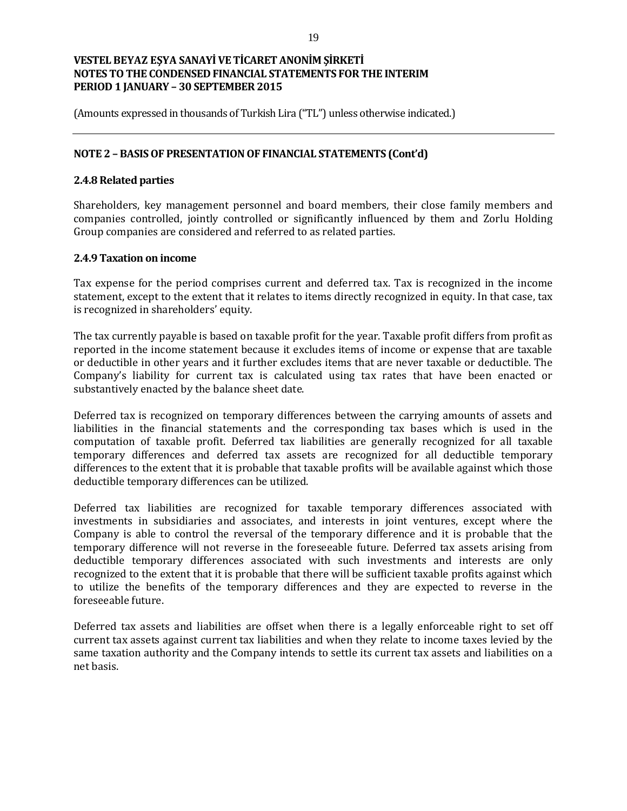(Amounts expressed in thousands of Turkish Lira ("TL") unless otherwise indicated.)

### **NOTE 2 – BASIS OF PRESENTATION OF FINANCIAL STATEMENTS (Cont'd)**

### **2.4.8 Related parties**

Shareholders, key management personnel and board members, their close family members and companies controlled, jointly controlled or significantly influenced by them and Zorlu Holding Group companies are considered and referred to as related parties.

### **2.4.9 Taxation on income**

Tax expense for the period comprises current and deferred tax. Tax is recognized in the income statement, except to the extent that it relates to items directly recognized in equity. In that case, tax is recognized in shareholders' equity.

The tax currently payable is based on taxable profit for the year. Taxable profit differs from profit as reported in the income statement because it excludes items of income or expense that are taxable or deductible in other years and it further excludes items that are never taxable or deductible. The Company's liability for current tax is calculated using tax rates that have been enacted or substantively enacted by the balance sheet date.

Deferred tax is recognized on temporary differences between the carrying amounts of assets and liabilities in the financial statements and the corresponding tax bases which is used in the computation of taxable profit. Deferred tax liabilities are generally recognized for all taxable temporary differences and deferred tax assets are recognized for all deductible temporary differences to the extent that it is probable that taxable profits will be available against which those deductible temporary differences can be utilized.

Deferred tax liabilities are recognized for taxable temporary differences associated with investments in subsidiaries and associates, and interests in joint ventures, except where the Company is able to control the reversal of the temporary difference and it is probable that the temporary difference will not reverse in the foreseeable future. Deferred tax assets arising from deductible temporary differences associated with such investments and interests are only recognized to the extent that it is probable that there will be sufficient taxable profits against which to utilize the benefits of the temporary differences and they are expected to reverse in the foreseeable future.

Deferred tax assets and liabilities are offset when there is a legally enforceable right to set off current tax assets against current tax liabilities and when they relate to income taxes levied by the same taxation authority and the Company intends to settle its current tax assets and liabilities on a net basis.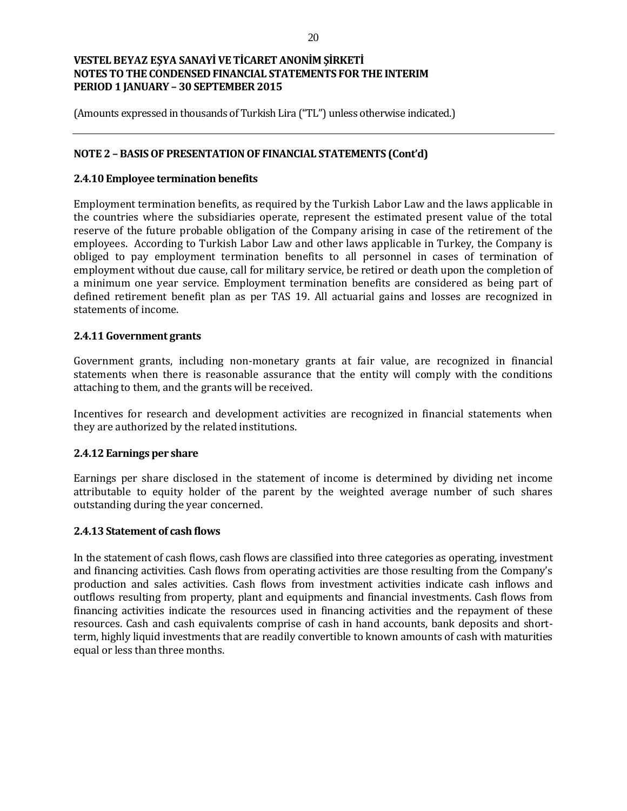(Amounts expressed in thousands of Turkish Lira ("TL") unless otherwise indicated.)

### **NOTE 2 – BASIS OF PRESENTATION OF FINANCIAL STATEMENTS (Cont'd)**

### **2.4.10 Employee termination benefits**

Employment termination benefits, as required by the Turkish Labor Law and the laws applicable in the countries where the subsidiaries operate, represent the estimated present value of the total reserve of the future probable obligation of the Company arising in case of the retirement of the employees. According to Turkish Labor Law and other laws applicable in Turkey, the Company is obliged to pay employment termination benefits to all personnel in cases of termination of employment without due cause, call for military service, be retired or death upon the completion of a minimum one year service. Employment termination benefits are considered as being part of defined retirement benefit plan as per TAS 19. All actuarial gains and losses are recognized in statements of income.

### **2.4.11 Government grants**

Government grants, including non-monetary grants at fair value, are recognized in financial statements when there is reasonable assurance that the entity will comply with the conditions attaching to them, and the grants will be received.

Incentives for research and development activities are recognized in financial statements when they are authorized by the related institutions.

### **2.4.12 Earnings per share**

Earnings per share disclosed in the statement of income is determined by dividing net income attributable to equity holder of the parent by the weighted average number of such shares outstanding during the year concerned.

### **2.4.13 Statement of cash flows**

In the statement of cash flows, cash flows are classified into three categories as operating, investment and financing activities. Cash flows from operating activities are those resulting from the Company's production and sales activities. Cash flows from investment activities indicate cash inflows and outflows resulting from property, plant and equipments and financial investments. Cash flows from financing activities indicate the resources used in financing activities and the repayment of these resources. Cash and cash equivalents comprise of cash in hand accounts, bank deposits and shortterm, highly liquid investments that are readily convertible to known amounts of cash with maturities equal or less than three months.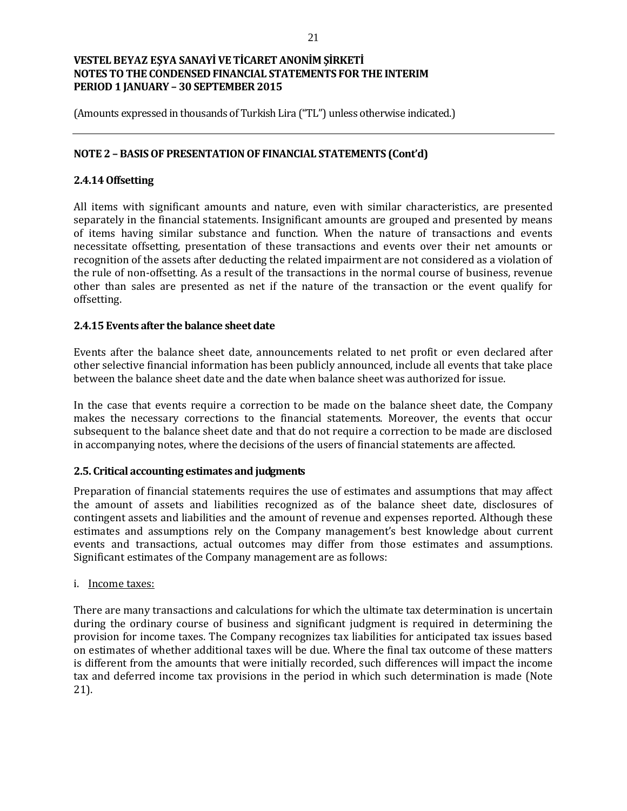(Amounts expressed in thousands of Turkish Lira ("TL") unless otherwise indicated.)

### **NOTE 2 – BASIS OF PRESENTATION OF FINANCIAL STATEMENTS (Cont'd)**

### **2.4.14 Offsetting**

All items with significant amounts and nature, even with similar characteristics, are presented separately in the financial statements. Insignificant amounts are grouped and presented by means of items having similar substance and function. When the nature of transactions and events necessitate offsetting, presentation of these transactions and events over their net amounts or recognition of the assets after deducting the related impairment are not considered as a violation of the rule of non-offsetting. As a result of the transactions in the normal course of business, revenue other than sales are presented as net if the nature of the transaction or the event qualify for offsetting.

### **2.4.15 Events after the balance sheet date**

Events after the balance sheet date, announcements related to net profit or even declared after other selective financial information has been publicly announced, include all events that take place between the balance sheet date and the date when balance sheet was authorized for issue.

In the case that events require a correction to be made on the balance sheet date, the Company makes the necessary corrections to the financial statements. Moreover, the events that occur subsequent to the balance sheet date and that do not require a correction to be made are disclosed in accompanying notes, where the decisions of the users of financial statements are affected.

### **2.5. Critical accounting estimates and judgments**

Preparation of financial statements requires the use of estimates and assumptions that may affect the amount of assets and liabilities recognized as of the balance sheet date, disclosures of contingent assets and liabilities and the amount of revenue and expenses reported. Although these estimates and assumptions rely on the Company management's best knowledge about current events and transactions, actual outcomes may differ from those estimates and assumptions. Significant estimates of the Company management are as follows:

### i. Income taxes:

There are many transactions and calculations for which the ultimate tax determination is uncertain during the ordinary course of business and significant judgment is required in determining the provision for income taxes. The Company recognizes tax liabilities for anticipated tax issues based on estimates of whether additional taxes will be due. Where the final tax outcome of these matters is different from the amounts that were initially recorded, such differences will impact the income tax and deferred income tax provisions in the period in which such determination is made (Note 21).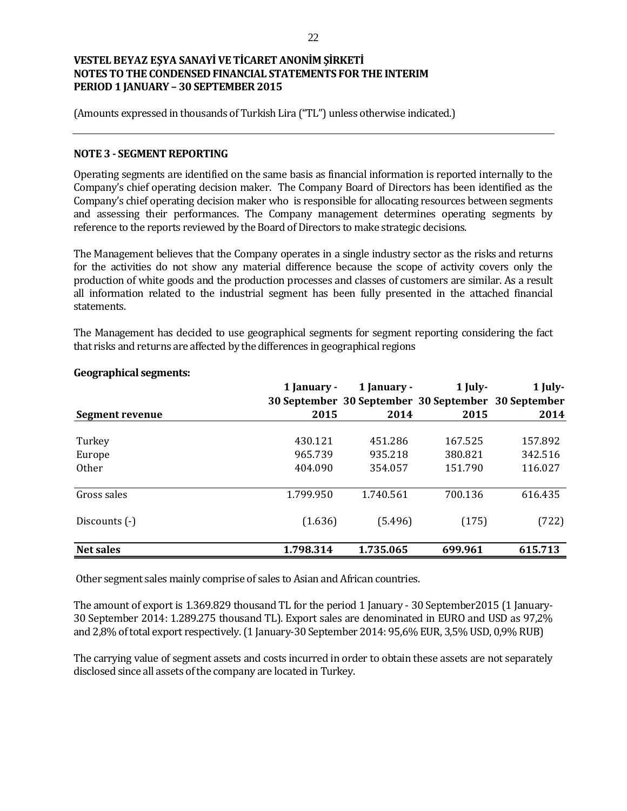(Amounts expressed in thousands of Turkish Lira ("TL") unless otherwise indicated.)

### **NOTE 3 - SEGMENT REPORTING**

Operating segments are identified on the same basis as financial information is reported internally to the Company's chief operating decision maker. The Company Board of Directors has been identified as the Company's chief operating decision maker who is responsible for allocating resources between segments and assessing their performances. The Company management determines operating segments by reference to the reports reviewed by the Board of Directors to make strategic decisions.

The Management believes that the Company operates in a single industry sector as the risks and returns for the activities do not show any material difference because the scope of activity covers only the production of white goods and the production processes and classes of customers are similar. As a result all information related to the industrial segment has been fully presented in the attached financial statements.

The Management has decided to use geographical segments for segment reporting considering the fact that risks and returns are affected by the differences in geographical regions

|                   | 1 January -<br>30 September 30 September 30 September 30 September | 1 January - | 1 July- | 1 July- |
|-------------------|--------------------------------------------------------------------|-------------|---------|---------|
| Segment revenue   | 2015                                                               | 2014        | 2015    | 2014    |
| Turkey            | 430.121                                                            | 451.286     | 167.525 | 157.892 |
| Europe            | 965.739                                                            | 935.218     | 380.821 | 342.516 |
| 0 <sub>ther</sub> | 404.090                                                            | 354.057     | 151.790 | 116.027 |
| Gross sales       | 1.799.950                                                          | 1.740.561   | 700.136 | 616.435 |
| Discounts (-)     | (1.636)                                                            | (5.496)     | (175)   | (722)   |
| <b>Net sales</b>  | 1.798.314                                                          | 1.735.065   | 699.961 | 615.713 |

### **Geographical segments:**

Other segment sales mainly comprise of sales to Asian and African countries.

The amount of export is 1.369.829 thousand TL for the period 1 January - 30 September2015 (1 January-30 September 2014: 1.289.275 thousand TL). Export sales are denominated in EURO and USD as 97,2% and 2,8% of total export respectively. (1 January-30 September 2014: 95,6% EUR, 3,5% USD, 0,9% RUB)

The carrying value of segment assets and costs incurred in order to obtain these assets are not separately disclosed since all assets of the company are located in Turkey.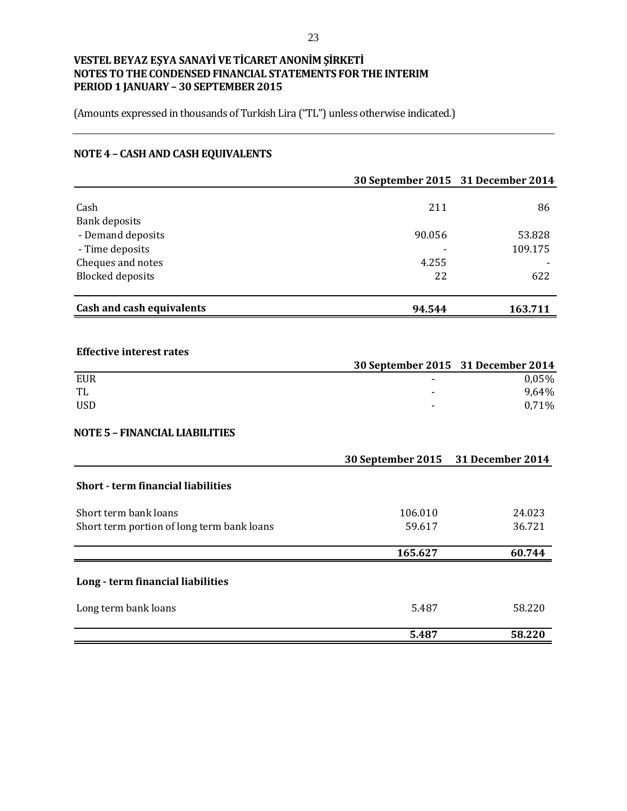(Amounts expressed in thousands of Turkish Lira ("TL") unless otherwise indicated.)

# **NOTE 4 – CASH AND CASH EQUIVALENTS**

|                                            |                   | 30 September 2015 31 December 2014 |
|--------------------------------------------|-------------------|------------------------------------|
| Cash                                       | 211               | 86                                 |
| <b>Bank deposits</b>                       |                   |                                    |
| - Demand deposits                          | 90.056            | 53.828                             |
| - Time deposits                            |                   | 109.175                            |
| Cheques and notes                          | 4.255             |                                    |
| <b>Blocked</b> deposits                    | 22                | 622                                |
| <b>Cash and cash equivalents</b>           | 94.544            | 163.711                            |
|                                            |                   |                                    |
| <b>Effective interest rates</b>            |                   |                                    |
|                                            |                   | 30 September 2015 31 December 2014 |
| <b>EUR</b>                                 |                   | 0,05%                              |
| TL<br><b>USD</b>                           |                   | 9,64%<br>0,71%                     |
|                                            |                   |                                    |
| <b>NOTE 5 - FINANCIAL LIABILITIES</b>      |                   |                                    |
|                                            | 30 September 2015 | 31 December 2014                   |
| <b>Short - term financial liabilities</b>  |                   |                                    |
| Short term bank loans                      | 106.010           | 24.023                             |
| Short term portion of long term bank loans | 59.617            | 36.721                             |
|                                            | 165.627           | 60.744                             |
| Long - term financial liabilities          |                   |                                    |
| Long term bank loans                       | 5.487             | 58.220                             |
|                                            | 5.487             | 58.220                             |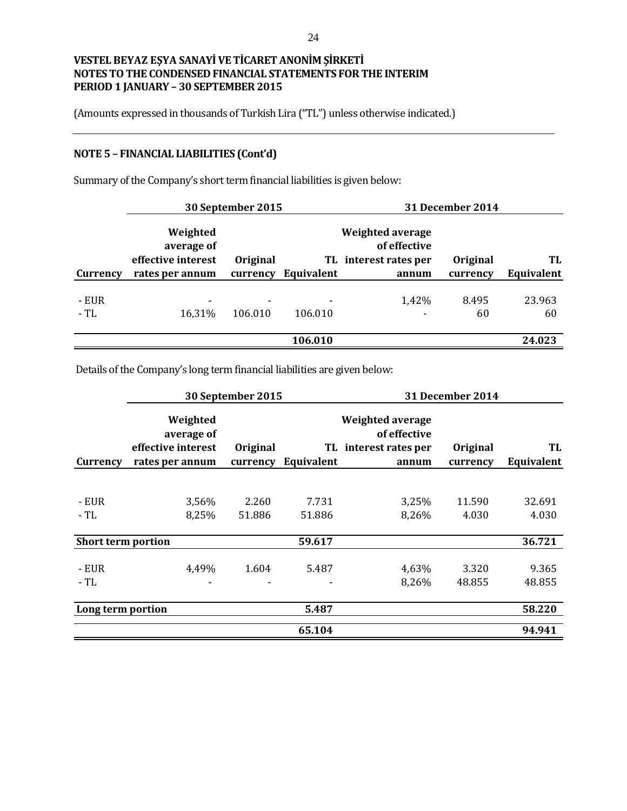(Amounts expressed in thousands of Turkish Lira ("TL") unless otherwise indicated.)

# **NOTE 5 – FINANCIAL LIABILITIES (Cont'd)**

|                |                                              | 30 September 2015 |            |                                                           | 31 December 2014 |              |
|----------------|----------------------------------------------|-------------------|------------|-----------------------------------------------------------|------------------|--------------|
|                | Weighted<br>average of<br>effective interest | Original          |            | Weighted average<br>of effective<br>TL interest rates per | Original         | TL           |
| Currency       | rates per annum                              | currency          | Equivalent | annum                                                     | currency         | Equivalent   |
| - EUR<br>$-TL$ | 16,31%                                       | 106.010           | 106.010    | 1,42%                                                     | 8.495<br>60      | 23.963<br>60 |
|                |                                              |                   |            |                                                           |                  |              |
|                |                                              |                   | 106.010    |                                                           |                  | 24.023       |

Summary of the Company's short term financial liabilities is given below:

Details of the Company's long term financial liabilities are given below:

|                           |                        | 30 September 2015 |            |                                         | <b>31 December 2014</b> |            |
|---------------------------|------------------------|-------------------|------------|-----------------------------------------|-------------------------|------------|
|                           | Weighted<br>average of |                   |            | <b>Weighted average</b><br>of effective |                         |            |
|                           | effective interest     | Original          |            | TL interest rates per                   | Original                | TL         |
| Currency                  | rates per annum        | currency          | Equivalent | annum                                   | currency                | Equivalent |
|                           |                        |                   |            |                                         |                         |            |
| - EUR                     | 3,56%                  | 2.260             | 7.731      | 3,25%                                   | 11.590                  | 32.691     |
| - TL                      | 8,25%                  | 51.886            | 51.886     | 8,26%                                   | 4.030                   | 4.030      |
| <b>Short term portion</b> |                        |                   | 59.617     |                                         |                         | 36.721     |
| - EUR                     | 4,49%                  | 1.604             | 5.487      | 4,63%                                   | 3.320                   | 9.365      |
| - TL                      |                        |                   |            | 8,26%                                   | 48.855                  | 48.855     |
| Long term portion         |                        |                   | 5.487      |                                         |                         | 58.220     |
|                           |                        |                   | 65.104     |                                         |                         | 94.941     |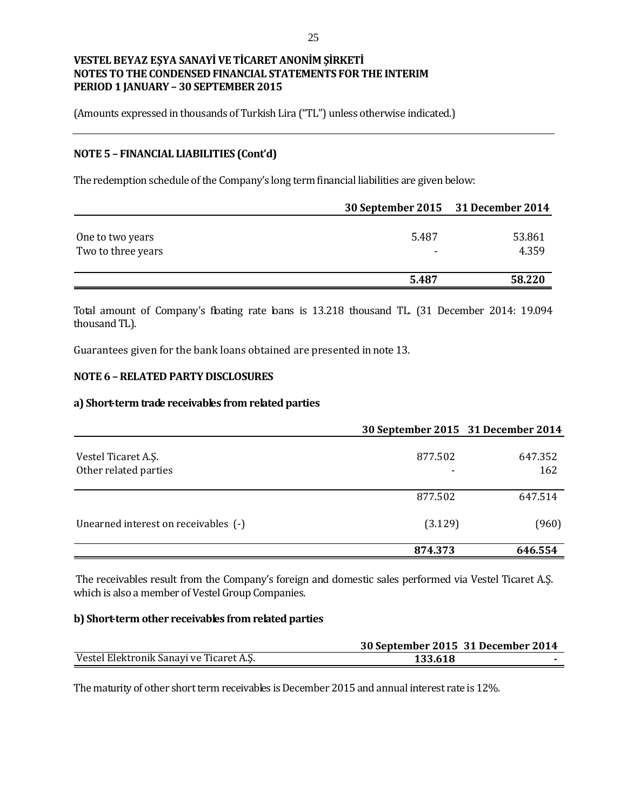(Amounts expressed in thousands of Turkish Lira ("TL") unless otherwise indicated.)

### **NOTE 5 – FINANCIAL LIABILITIES (Cont'd)**

The redemption schedule of the Company's long term financial liabilities are given below:

|                                        | 30 September 2015 31 December 2014 |                 |
|----------------------------------------|------------------------------------|-----------------|
| One to two years<br>Two to three years | 5.487<br>$\overline{\phantom{a}}$  | 53.861<br>4.359 |
|                                        | 5.487                              | 58.220          |

Total amount of Company's floating rate loans is 13.218 thousand TL. (31 December 2014: 19.094 thousand TL).

Guarantees given for the bank loans obtained are presented in note 13.

### **NOTE 6 –RELATED PARTY DISCLOSURES**

#### **a) Short-term trade receivables from related parties**

|                                              | 30 September 2015 31 December 2014 |                |
|----------------------------------------------|------------------------------------|----------------|
| Vestel Ticaret A.Ş.<br>Other related parties | 877.502                            | 647.352<br>162 |
|                                              | 877.502                            | 647.514        |
| Unearned interest on receivables (-)         | (3.129)                            | (960)          |
|                                              | 874.373                            | 646.554        |

The receivables result from the Company's foreign and domestic sales performed via Vestel Ticaret A.Ş. which is also a member of Vestel Group Companies.

### **b) Short-term other receivables from related parties**

|                                          | 30 September 2015 31 December 2014 |  |
|------------------------------------------|------------------------------------|--|
| Vestel Elektronik Sanayi ve Ticaret A.Ş. | 133.618                            |  |

The maturity of other short term receivables is December 2015 and annual interest rate is 12%.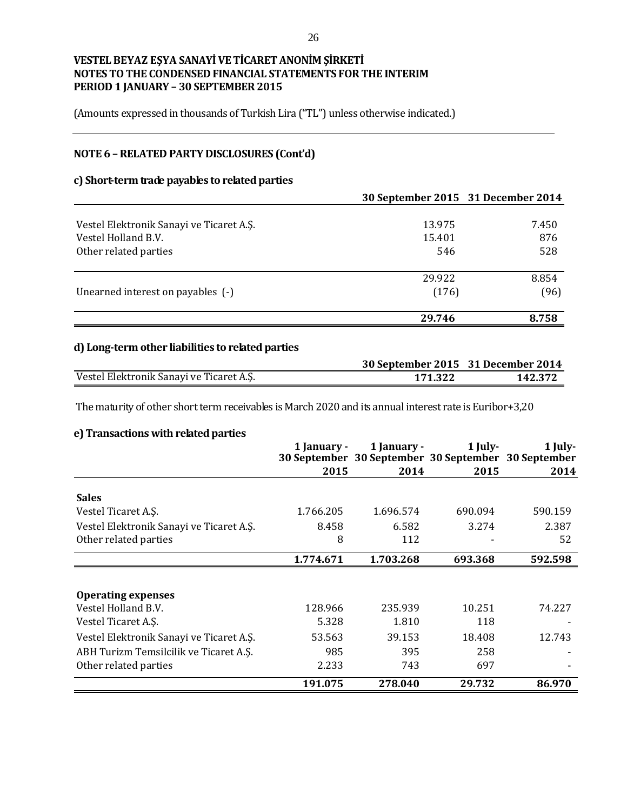(Amounts expressed in thousands of Turkish Lira ("TL") unless otherwise indicated.)

# **NOTE 6 –RELATED PARTY DISCLOSURES (Cont'd)**

### **c) Short-term trade payables to related parties**

|                                          | 30 September 2015 31 December 2014 |       |
|------------------------------------------|------------------------------------|-------|
|                                          |                                    |       |
| Vestel Elektronik Sanayi ve Ticaret A.S. | 13.975                             | 7.450 |
| Vestel Holland B.V.                      | 15.401                             | 876   |
| Other related parties                    | 546                                | 528   |
|                                          | 29.922                             | 8.854 |
| Unearned interest on payables (-)        | (176)                              | (96)  |
|                                          | 29.746                             | 8.758 |

# **d) Long-term other liabilities to related parties**

|                                          | 30 September 2015 31 December 2014 |         |
|------------------------------------------|------------------------------------|---------|
| Vestel Elektronik Sanayi ve Ticaret A.Ş. | 171.322                            | 142.372 |

The maturity of other short term receivables is March 2020 and its annual interest rate is Euribor+3,20

### **e) Transactions with related parties**

|                                          | 1 January - | 1 January -<br>30 September 30 September 30 September 30 September | $1$ July- | 1 July- |
|------------------------------------------|-------------|--------------------------------------------------------------------|-----------|---------|
|                                          | 2015        | 2014                                                               | 2015      | 2014    |
| <b>Sales</b>                             |             |                                                                    |           |         |
| Vestel Ticaret A.S.                      | 1.766.205   | 1.696.574                                                          | 690.094   | 590.159 |
| Vestel Elektronik Sanayi ve Ticaret A.Ş. | 8.458       | 6.582                                                              | 3.274     | 2.387   |
| Other related parties                    | 8           | 112                                                                |           | 52      |
|                                          | 1.774.671   | 1.703.268                                                          | 693.368   | 592.598 |
|                                          |             |                                                                    |           |         |
| <b>Operating expenses</b>                |             |                                                                    |           |         |
| Vestel Holland B.V.                      | 128.966     | 235.939                                                            | 10.251    | 74.227  |
| Vestel Ticaret A.S.                      | 5.328       | 1.810                                                              | 118       |         |
| Vestel Elektronik Sanayi ve Ticaret A.Ş. | 53.563      | 39.153                                                             | 18.408    | 12.743  |
| ABH Turizm Temsilcilik ve Ticaret A.Ş.   | 985         | 395                                                                | 258       |         |
| Other related parties                    | 2.233       | 743                                                                | 697       |         |
|                                          | 191.075     | 278.040                                                            | 29.732    | 86.970  |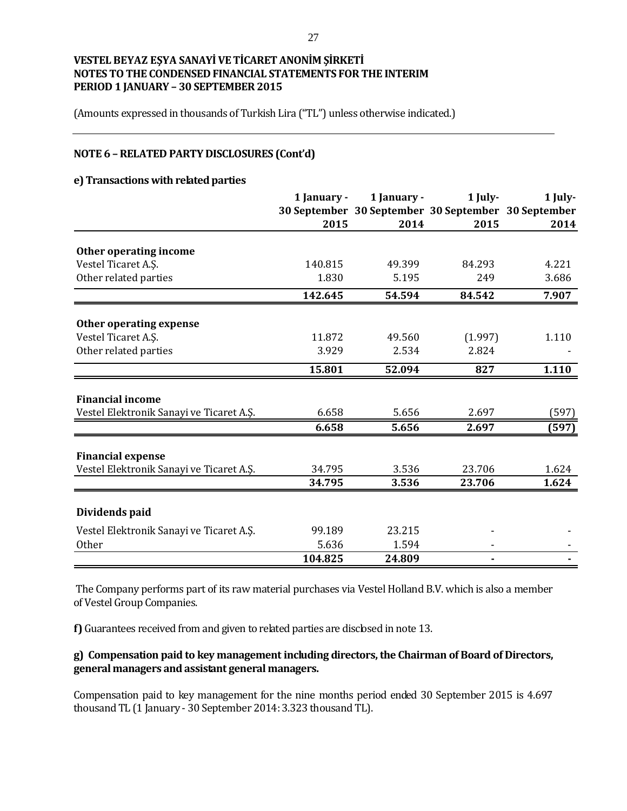(Amounts expressed in thousands of Turkish Lira ("TL") unless otherwise indicated.)

### **NOTE 6 –RELATED PARTY DISCLOSURES (Cont'd)**

#### **e) Transactions with related parties**

|                                                                      | 1 January - | 1 January - | 1 July- | 1 July-                                             |
|----------------------------------------------------------------------|-------------|-------------|---------|-----------------------------------------------------|
|                                                                      |             |             |         | 30 September 30 September 30 September 30 September |
|                                                                      | 2015        | 2014        | 2015    | 2014                                                |
| Other operating income                                               |             |             |         |                                                     |
| Vestel Ticaret A.S.                                                  | 140.815     | 49.399      | 84.293  | 4.221                                               |
| Other related parties                                                | 1.830       | 5.195       | 249     | 3.686                                               |
|                                                                      | 142.645     | 54.594      | 84.542  | 7.907                                               |
| Other operating expense                                              |             |             |         |                                                     |
| Vestel Ticaret A.Ş.                                                  | 11.872      | 49.560      | (1.997) | 1.110                                               |
| Other related parties                                                | 3.929       | 2.534       | 2.824   |                                                     |
|                                                                      | 15.801      | 52.094      | 827     | 1.110                                               |
|                                                                      |             |             |         |                                                     |
| <b>Financial income</b><br>Vestel Elektronik Sanayi ve Ticaret A.Ş.  | 6.658       | 5.656       | 2.697   | (597)                                               |
|                                                                      | 6.658       | 5.656       | 2.697   | (597)                                               |
|                                                                      |             |             |         |                                                     |
| <b>Financial expense</b><br>Vestel Elektronik Sanayi ve Ticaret A.Ş. | 34.795      | 3.536       | 23.706  | 1.624                                               |
|                                                                      | 34.795      | 3.536       | 23.706  | 1.624                                               |
|                                                                      |             |             |         |                                                     |
| Dividends paid                                                       |             |             |         |                                                     |
| Vestel Elektronik Sanayi ve Ticaret A.Ş.                             | 99.189      | 23.215      |         |                                                     |
| Other                                                                | 5.636       | 1.594       |         |                                                     |
|                                                                      | 104.825     | 24.809      | ۰       |                                                     |

The Company performs part of its raw material purchases via Vestel Holland B.V. which is also a member of Vestel Group Companies.

**f)** Guarantees received from and given to related parties are disclosed in note 13.

### **g) Compensation paid to key management including directors, the Chairman of Board of Directors, general managers and assistant general managers.**

Compensation paid to key management for the nine months period ended 30 September 2015 is 4.697 thousand TL (1 January - 30 September 2014: 3.323 thousand TL).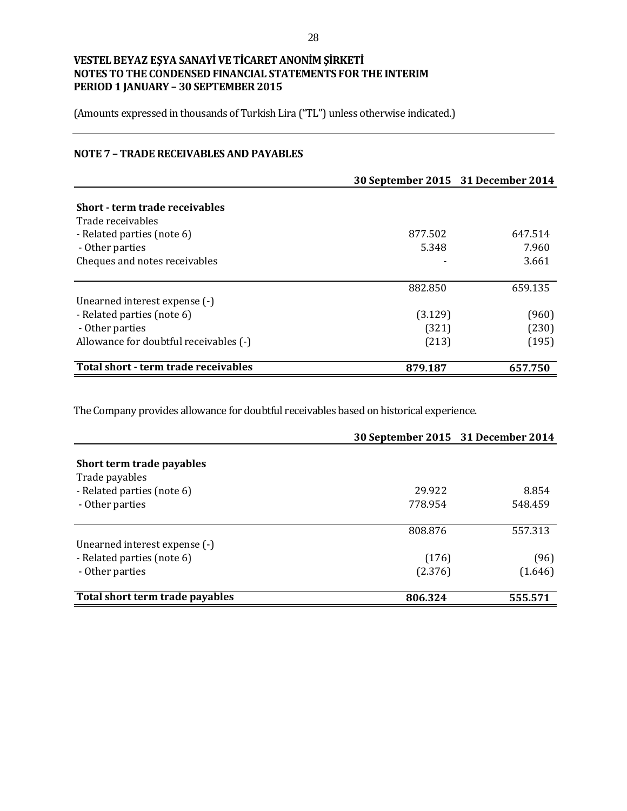(Amounts expressed in thousands of Turkish Lira ("TL") unless otherwise indicated.)

## **NOTE 7 – TRADE RECEIVABLES AND PAYABLES**

|                                        | 30 September 2015 31 December 2014 |         |
|----------------------------------------|------------------------------------|---------|
|                                        |                                    |         |
| Short - term trade receivables         |                                    |         |
| Trade receivables                      |                                    |         |
| - Related parties (note 6)             | 877.502                            | 647.514 |
| - Other parties                        | 5.348                              | 7.960   |
| Cheques and notes receivables          |                                    | 3.661   |
|                                        | 882.850                            | 659.135 |
| Unearned interest expense (-)          |                                    |         |
| - Related parties (note 6)             | (3.129)                            | (960)   |
| - Other parties                        | (321)                              | (230)   |
| Allowance for doubtful receivables (-) | (213)                              | (195)   |
| Total short - term trade receivables   | 879.187                            | 657.750 |

The Company provides allowance for doubtful receivables based on historical experience.

|                                 |         | 30 September 2015 31 December 2014 |
|---------------------------------|---------|------------------------------------|
|                                 |         |                                    |
| Short term trade payables       |         |                                    |
| Trade payables                  |         |                                    |
| - Related parties (note 6)      | 29.922  | 8.854                              |
| - Other parties                 | 778.954 | 548.459                            |
|                                 |         |                                    |
|                                 | 808.876 | 557.313                            |
| Unearned interest expense (-)   |         |                                    |
| - Related parties (note 6)      | (176)   | (96)                               |
| - Other parties                 | (2.376) | (1.646)                            |
| Total short term trade payables | 806.324 | 555.571                            |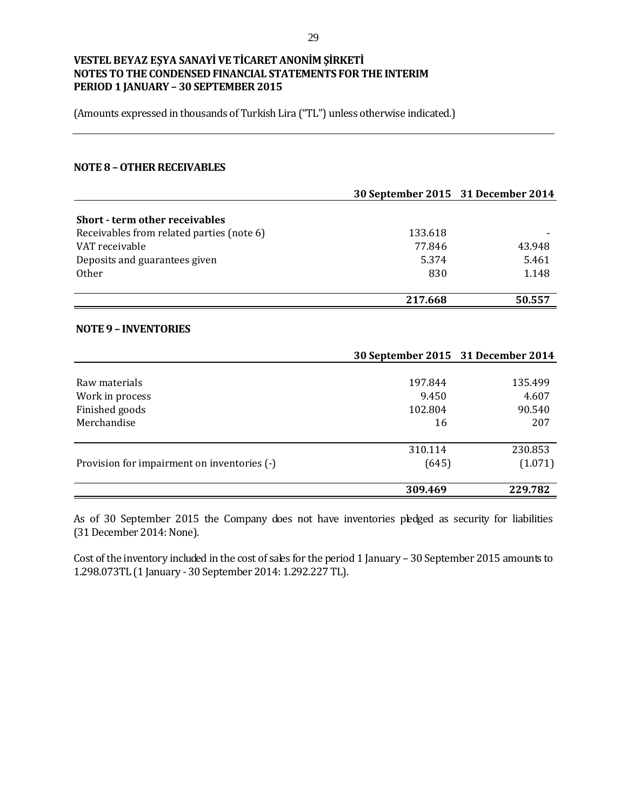(Amounts expressed in thousands of Turkish Lira ("TL") unless otherwise indicated.)

#### **NOTE 8 –OTHER RECEIVABLES**

|                                           |         | 30 September 2015 31 December 2014 |
|-------------------------------------------|---------|------------------------------------|
| <b>Short - term other receivables</b>     |         |                                    |
| Receivables from related parties (note 6) | 133.618 |                                    |
|                                           |         |                                    |
| VAT receivable                            | 77.846  | 43.948                             |
| Deposits and guarantees given             | 5.374   | 5.461                              |
| <b>Other</b>                              | 830     | 1.148                              |
|                                           | 217.668 | 50.557                             |
| <b>NOTE 9 - INVENTORIES</b>               |         |                                    |
|                                           |         | 30 September 2015 31 December 2014 |

|                                             | 309.469          | 229.782            |
|---------------------------------------------|------------------|--------------------|
| Provision for impairment on inventories (-) | 310.114<br>(645) | 230.853<br>(1.071) |
|                                             |                  |                    |
| Merchandise                                 | 16               | 207                |
| Finished goods                              | 102.804          | 90.540             |
| Work in process                             | 9.450            | 4.607              |
| Raw materials                               | 197.844          | 135.499            |
|                                             |                  |                    |

As of 30 September 2015 the Company does not have inventories pledged as security for liabilities (31 December 2014: None).

Cost of the inventory included in the cost of sales for the period 1 January – 30 September 2015 amounts to 1.298.073TL (1 January - 30 September 2014: 1.292.227 TL).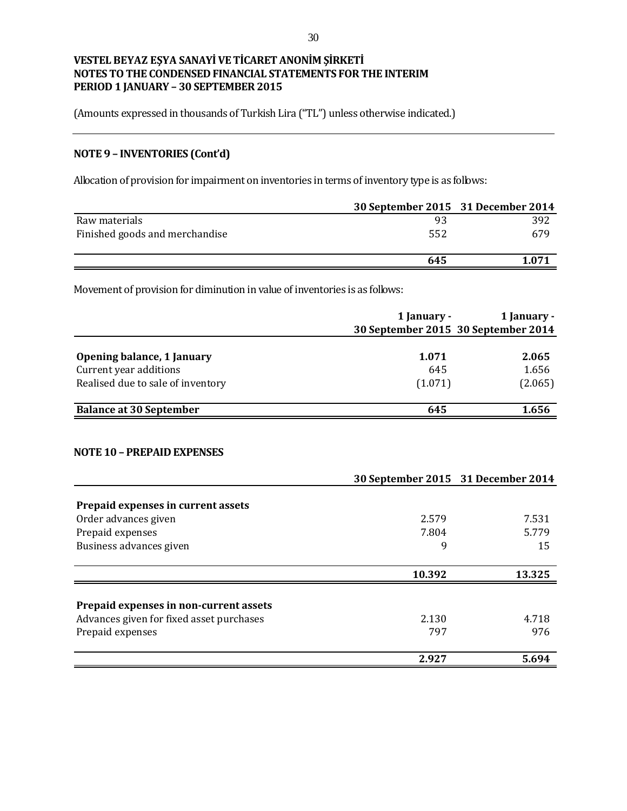(Amounts expressed in thousands of Turkish Lira ("TL") unless otherwise indicated.)

# **NOTE 9 – INVENTORIES (Cont'd)**

Allocation of provision for impairment on inventories in terms of inventory type is as follows:

|                                | 30 September 2015 31 December 2014 |      |
|--------------------------------|------------------------------------|------|
| Raw materials                  | 93                                 | 392  |
| Finished goods and merchandise | 552                                | 679  |
|                                | 645                                | .071 |

Movement of provision for diminution in value of inventories is as follows:

|                                   | 1 January -<br>30 September 2015 30 September 2014 | 1 January - |
|-----------------------------------|----------------------------------------------------|-------------|
| Opening balance, 1 January        | 1.071                                              | 2.065       |
| Current year additions            | 645                                                | 1.656       |
| Realised due to sale of inventory | (1.071)                                            | (2.065)     |
| <b>Balance at 30 September</b>    | 645                                                | 1.656       |

#### **NOTE 10 – PREPAID EXPENSES**

|                                          | 30 September 2015 31 December 2014 |        |
|------------------------------------------|------------------------------------|--------|
|                                          |                                    |        |
| Prepaid expenses in current assets       |                                    |        |
| Order advances given                     | 2.579                              | 7.531  |
| Prepaid expenses                         | 7.804                              | 5.779  |
| Business advances given                  | 9                                  | 15     |
|                                          | 10.392                             | 13.325 |
|                                          |                                    |        |
| Prepaid expenses in non-current assets   |                                    |        |
| Advances given for fixed asset purchases | 2.130                              | 4.718  |
| Prepaid expenses                         | 797                                | 976    |
|                                          | 2.927                              | 5.694  |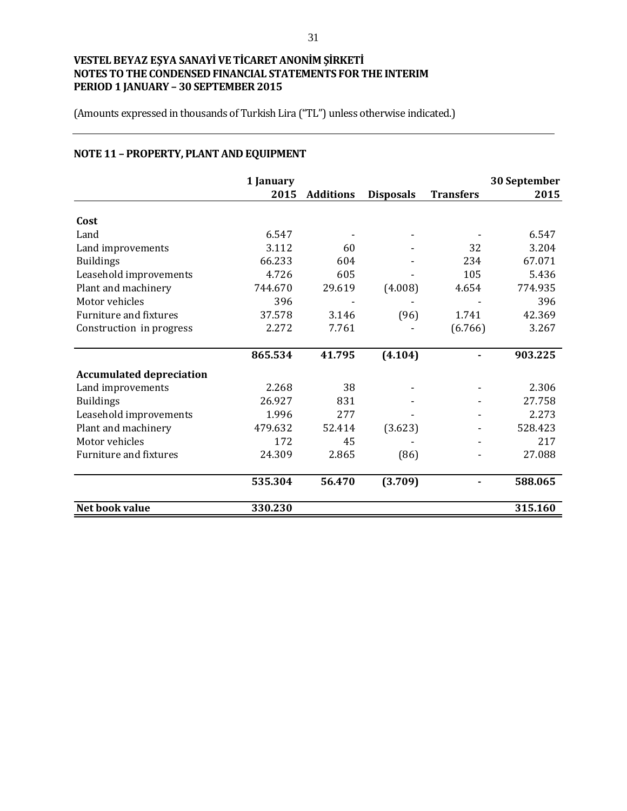(Amounts expressed in thousands of Turkish Lira ("TL") unless otherwise indicated.)

# **NOTE 11 – PROPERTY, PLANT AND EQUIPMENT**

|                                 | 1 January |                  |                  |                  | 30 September |
|---------------------------------|-----------|------------------|------------------|------------------|--------------|
|                                 | 2015      | <b>Additions</b> | <b>Disposals</b> | <b>Transfers</b> | 2015         |
| Cost                            |           |                  |                  |                  |              |
| Land                            | 6.547     |                  |                  |                  | 6.547        |
| Land improvements               | 3.112     | 60               |                  | 32               | 3.204        |
| <b>Buildings</b>                | 66.233    | 604              |                  | 234              | 67.071       |
| Leasehold improvements          | 4.726     | 605              |                  | 105              | 5.436        |
| Plant and machinery             | 744.670   | 29.619           | (4.008)          | 4.654            | 774.935      |
| Motor vehicles                  | 396       |                  |                  |                  | 396          |
| Furniture and fixtures          | 37.578    | 3.146            | (96)             | 1.741            | 42.369       |
| Construction in progress        | 2.272     | 7.761            |                  | (6.766)          | 3.267        |
|                                 | 865.534   | 41.795           | (4.104)          |                  | 903.225      |
| <b>Accumulated depreciation</b> |           |                  |                  |                  |              |
| Land improvements               | 2.268     | 38               |                  |                  | 2.306        |
| <b>Buildings</b>                | 26.927    | 831              |                  |                  | 27.758       |
| Leasehold improvements          | 1.996     | 277              |                  |                  | 2.273        |
| Plant and machinery             | 479.632   | 52.414           | (3.623)          |                  | 528.423      |
| Motor vehicles                  | 172       | 45               |                  |                  | 217          |
| <b>Furniture and fixtures</b>   | 24.309    | 2.865            | (86)             |                  | 27.088       |
|                                 | 535.304   | 56.470           | (3.709)          |                  | 588.065      |
|                                 |           |                  |                  |                  |              |
| Net book value                  | 330.230   |                  |                  |                  | 315.160      |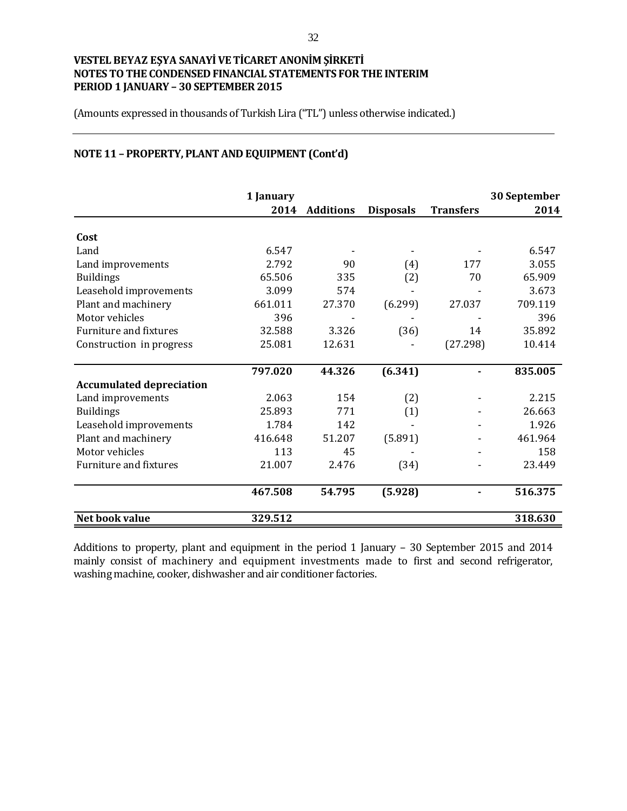(Amounts expressed in thousands of Turkish Lira ("TL") unless otherwise indicated.)

# **NOTE 11 – PROPERTY, PLANT AND EQUIPMENT (Cont'd)**

|                                 | 1 January |                  |                  |                  | 30 September |
|---------------------------------|-----------|------------------|------------------|------------------|--------------|
|                                 | 2014      | <b>Additions</b> | <b>Disposals</b> | <b>Transfers</b> | 2014         |
| Cost                            |           |                  |                  |                  |              |
| Land                            | 6.547     |                  |                  |                  | 6.547        |
| Land improvements               | 2.792     | 90               | (4)              | 177              | 3.055        |
| <b>Buildings</b>                | 65.506    | 335              | (2)              | 70               | 65.909       |
| Leasehold improvements          | 3.099     | 574              |                  |                  | 3.673        |
| Plant and machinery             | 661.011   | 27.370           | (6.299)          | 27.037           | 709.119      |
| Motor vehicles                  | 396       |                  |                  |                  | 396          |
| Furniture and fixtures          | 32.588    | 3.326            | (36)             | 14               | 35.892       |
| Construction in progress        | 25.081    | 12.631           |                  | (27.298)         | 10.414       |
|                                 | 797.020   | 44.326           | (6.341)          |                  | 835.005      |
| <b>Accumulated depreciation</b> |           |                  |                  |                  |              |
| Land improvements               | 2.063     | 154              | (2)              |                  | 2.215        |
| <b>Buildings</b>                | 25.893    | 771              | (1)              |                  | 26.663       |
| Leasehold improvements          | 1.784     | 142              |                  |                  | 1.926        |
| Plant and machinery             | 416.648   | 51.207           | (5.891)          |                  | 461.964      |
| Motor vehicles                  | 113       | 45               |                  |                  | 158          |
| <b>Furniture and fixtures</b>   | 21.007    | 2.476            | (34)             |                  | 23.449       |
|                                 | 467.508   | 54.795           | (5.928)          |                  | 516.375      |
|                                 |           |                  |                  |                  |              |
| Net book value                  | 329.512   |                  |                  |                  | 318.630      |

Additions to property, plant and equipment in the period 1 January – 30 September 2015 and 2014 mainly consist of machinery and equipment investments made to first and second refrigerator, washing machine, cooker, dishwasher and air conditioner factories.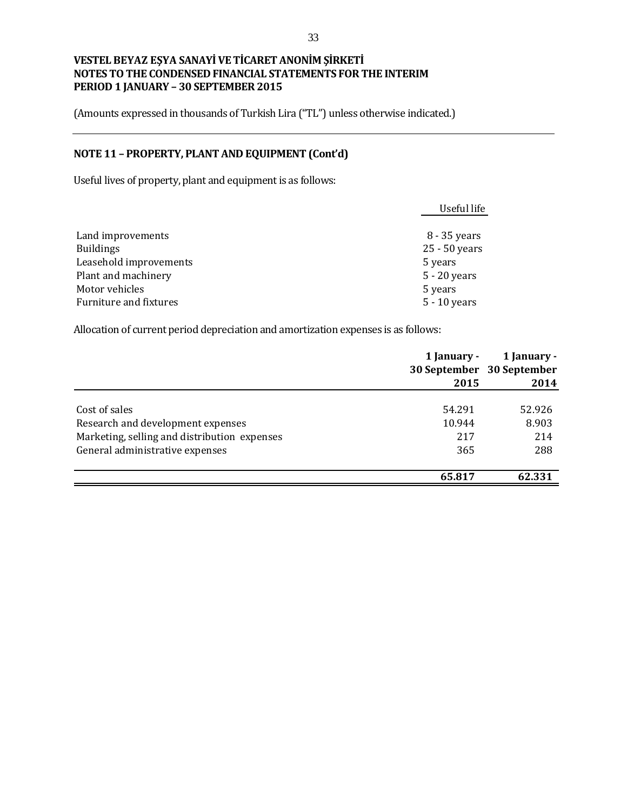(Amounts expressed in thousands of Turkish Lira ("TL") unless otherwise indicated.)

# **NOTE 11 – PROPERTY, PLANT AND EQUIPMENT (Cont'd)**

Useful lives of property, plant and equipment is as follows:

|                        | Useful life    |
|------------------------|----------------|
| Land improvements      | 8 - 35 years   |
| <b>Buildings</b>       | 25 - 50 years  |
| Leasehold improvements | 5 years        |
| Plant and machinery    | 5 - 20 years   |
| Motor vehicles         | 5 years        |
| Furniture and fixtures | $5 - 10$ years |

Allocation of current period depreciation and amortization expenses is as follows:

|                                              | 1 January - | 1 January -               |
|----------------------------------------------|-------------|---------------------------|
|                                              |             | 30 September 30 September |
|                                              | 2015        | 2014                      |
|                                              |             |                           |
| Cost of sales                                | 54.291      | 52.926                    |
| Research and development expenses            | 10.944      | 8.903                     |
| Marketing, selling and distribution expenses | 217         | 214                       |
| General administrative expenses              | 365         | 288                       |
|                                              | 65.817      | 62.331                    |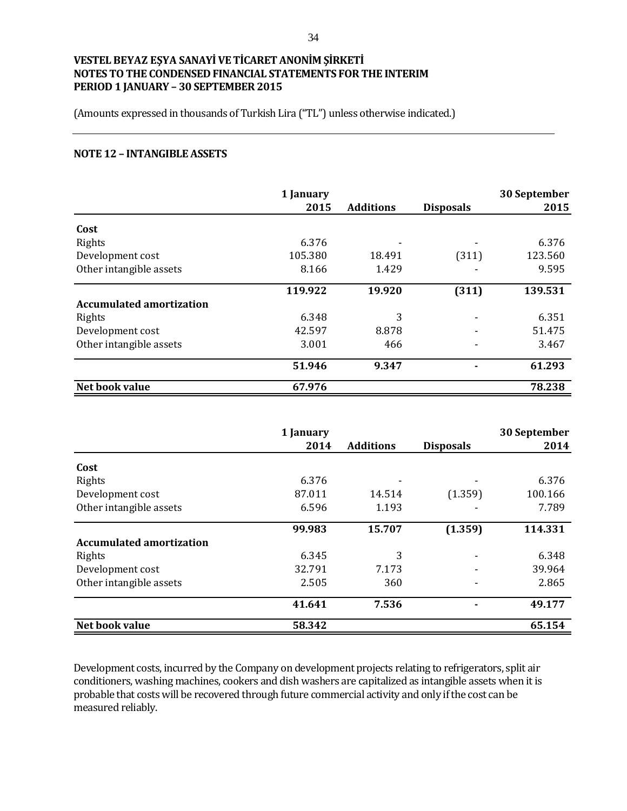(Amounts expressed in thousands of Turkish Lira ("TL") unless otherwise indicated.)

#### **NOTE 12 – INTANGIBLE ASSETS**

|                                 | 1 January |                  |                  | 30 September |
|---------------------------------|-----------|------------------|------------------|--------------|
|                                 | 2015      | <b>Additions</b> | <b>Disposals</b> | 2015         |
| Cost                            |           |                  |                  |              |
| Rights                          | 6.376     |                  |                  | 6.376        |
| Development cost                | 105.380   | 18.491           | (311)            | 123.560      |
| Other intangible assets         | 8.166     | 1.429            |                  | 9.595        |
|                                 | 119.922   | 19.920           | (311)            | 139.531      |
| <b>Accumulated amortization</b> |           |                  |                  |              |
| Rights                          | 6.348     | 3                |                  | 6.351        |
| Development cost                | 42.597    | 8.878            |                  | 51.475       |
| Other intangible assets         | 3.001     | 466              |                  | 3.467        |
|                                 | 51.946    | 9.347            | $\blacksquare$   | 61.293       |
| Net book value                  | 67.976    |                  |                  | 78.238       |

|                                 | 1 January |                  |                  | 30 September |
|---------------------------------|-----------|------------------|------------------|--------------|
|                                 | 2014      | <b>Additions</b> | <b>Disposals</b> | 2014         |
| Cost                            |           |                  |                  |              |
| Rights                          | 6.376     |                  |                  | 6.376        |
| Development cost                | 87.011    | 14.514           | (1.359)          | 100.166      |
| Other intangible assets         | 6.596     | 1.193            |                  | 7.789        |
|                                 | 99.983    | 15.707           | (1.359)          | 114.331      |
| <b>Accumulated amortization</b> |           |                  |                  |              |
| Rights                          | 6.345     | 3                |                  | 6.348        |
| Development cost                | 32.791    | 7.173            |                  | 39.964       |
| Other intangible assets         | 2.505     | 360              |                  | 2.865        |
|                                 | 41.641    | 7.536            |                  | 49.177       |
| Net book value                  | 58.342    |                  |                  | 65.154       |

Development costs, incurred by the Company on development projects relating to refrigerators, split air conditioners, washing machines, cookers and dish washers are capitalized as intangible assets when it is probable that costs will be recovered through future commercial activity and only if the cost can be measured reliably.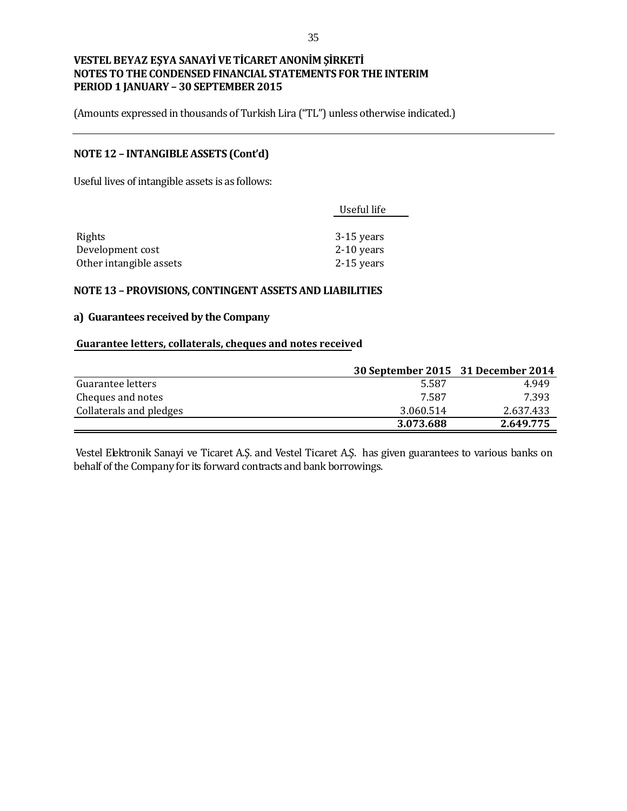(Amounts expressed in thousands of Turkish Lira ("TL") unless otherwise indicated.)

### **NOTE 12 – INTANGIBLE ASSETS (Cont'd)**

Useful lives of intangible assets is as follows:

| Useful life  |
|--------------|
|              |
| 3-15 years   |
| $2-10$ years |
| $2-15$ years |
|              |

### **NOTE 13 – PROVISIONS, CONTINGENT ASSETS AND LIABILITIES**

### **a) Guarantees received by the Company**

#### **Guarantee letters, collaterals, cheques and notes received**

|                         | 30 September 2015 31 December 2014 |           |
|-------------------------|------------------------------------|-----------|
| Guarantee letters       | 5.587                              | 4.949     |
| Cheques and notes       | 7.587                              | 7.393     |
| Collaterals and pledges | 3.060.514                          | 2.637.433 |
|                         | 3.073.688                          | 2.649.775 |

Vestel Elektronik Sanayi ve Ticaret A.Ş. and Vestel Ticaret A.Ş. has given guarantees to various banks on behalf of the Company for its forward contracts and bank borrowings.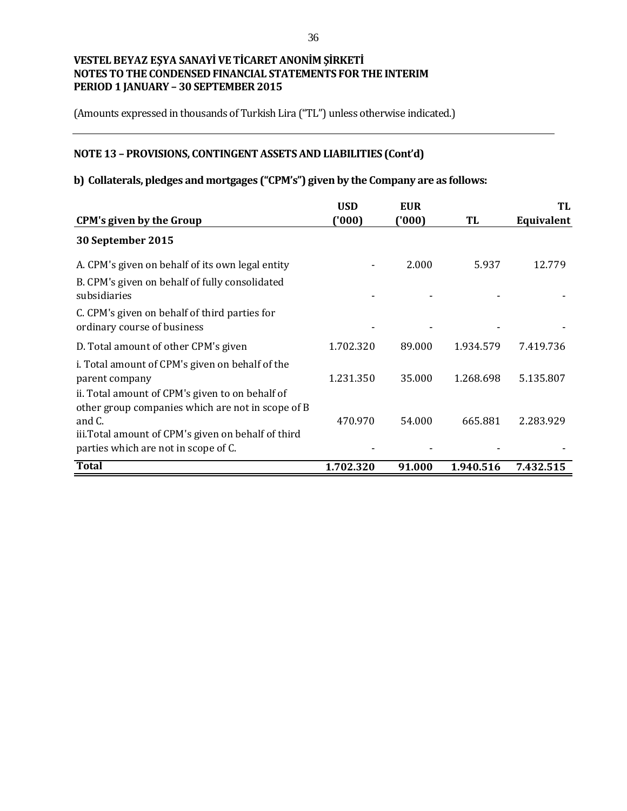(Amounts expressed in thousands of Turkish Lira ("TL") unless otherwise indicated.)

# **NOTE 13 – PROVISIONS, CONTINGENT ASSETS AND LIABILITIES (Cont'd)**

# **b) Collaterals, pledges and mortgages ("CPM's") given by the Company are as follows:**

|                                                                                                       | <b>USD</b> | <b>EUR</b> |           | TL         |
|-------------------------------------------------------------------------------------------------------|------------|------------|-----------|------------|
| <b>CPM's given by the Group</b>                                                                       | (000)      | ('000)     | TL        | Equivalent |
| 30 September 2015                                                                                     |            |            |           |            |
| A. CPM's given on behalf of its own legal entity                                                      |            | 2.000      | 5.937     | 12.779     |
| B. CPM's given on behalf of fully consolidated<br>subsidiaries                                        |            |            |           |            |
| C. CPM's given on behalf of third parties for<br>ordinary course of business                          |            |            |           |            |
| D. Total amount of other CPM's given                                                                  | 1.702.320  | 89.000     | 1.934.579 | 7.419.736  |
| i. Total amount of CPM's given on behalf of the<br>parent company                                     | 1.231.350  | 35.000     | 1.268.698 | 5.135.807  |
| ii. Total amount of CPM's given to on behalf of<br>other group companies which are not in scope of B  |            |            |           |            |
| and C.<br>iii. Total amount of CPM's given on behalf of third<br>parties which are not in scope of C. | 470.970    | 54.000     | 665.881   | 2.283.929  |
| <b>Total</b>                                                                                          | 1.702.320  | 91.000     | 1.940.516 | 7.432.515  |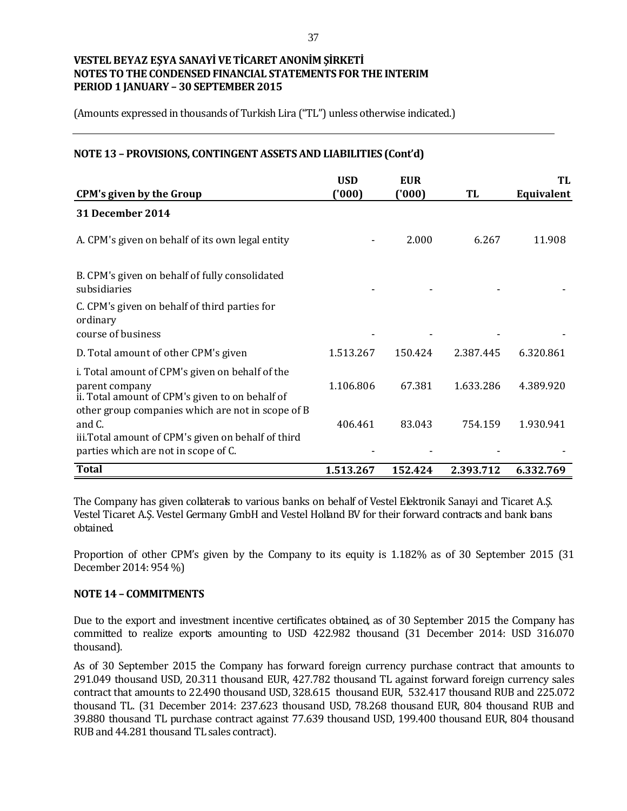(Amounts expressed in thousands of Turkish Lira ("TL") unless otherwise indicated.)

### **NOTE 13 – PROVISIONS, CONTINGENT ASSETS AND LIABILITIES (Cont'd)**

| <b>CPM's given by the Group</b>                                                                                                                                           | <b>USD</b><br>(000) | <b>EUR</b><br>(000) | TL        | TL<br><b>Equivalent</b> |
|---------------------------------------------------------------------------------------------------------------------------------------------------------------------------|---------------------|---------------------|-----------|-------------------------|
| 31 December 2014                                                                                                                                                          |                     |                     |           |                         |
| A. CPM's given on behalf of its own legal entity                                                                                                                          |                     | 2.000               | 6.267     | 11.908                  |
| B. CPM's given on behalf of fully consolidated<br>subsidiaries                                                                                                            |                     |                     |           |                         |
| C. CPM's given on behalf of third parties for<br>ordinary<br>course of business                                                                                           |                     |                     |           |                         |
| D. Total amount of other CPM's given                                                                                                                                      | 1.513.267           | 150.424             | 2.387.445 | 6.320.861               |
| i. Total amount of CPM's given on behalf of the<br>parent company<br>ii. Total amount of CPM's given to on behalf of<br>other group companies which are not in scope of B | 1.106.806           | 67.381              | 1.633.286 | 4.389.920               |
| and C.<br>iii. Total amount of CPM's given on behalf of third<br>parties which are not in scope of C.                                                                     | 406.461             | 83.043              | 754.159   | 1.930.941               |
| <b>Total</b>                                                                                                                                                              | 1.513.267           | 152.424             | 2.393.712 | 6.332.769               |

The Company has given collaterals to various banks on behalf of Vestel Elektronik Sanayi and Ticaret A.Ş. Vestel Ticaret A.Ş. Vestel Germany GmbH and Vestel Holland BV for their forward contracts and bank loans obtained.

Proportion of other CPM's given by the Company to its equity is 1.182% as of 30 September 2015 (31 December 2014: 954 %)

### **NOTE 14 – COMMITMENTS**

Due to the export and investment incentive certificates obtained, as of 30 September 2015 the Company has committed to realize exports amounting to USD 422.982 thousand (31 December 2014: USD 316.070 thousand).

As of 30 September 2015 the Company has forward foreign currency purchase contract that amounts to 291.049 thousand USD, 20.311 thousand EUR, 427.782 thousand TL against forward foreign currency sales contract that amounts to 22.490 thousand USD, 328.615 thousand EUR, 532.417 thousand RUB and 225.072 thousand TL. (31 December 2014: 237.623 thousand USD, 78.268 thousand EUR, 804 thousand RUB and 39.880 thousand TL purchase contract against 77.639 thousand USD, 199.400 thousand EUR, 804 thousand RUB and 44.281 thousand TL sales contract).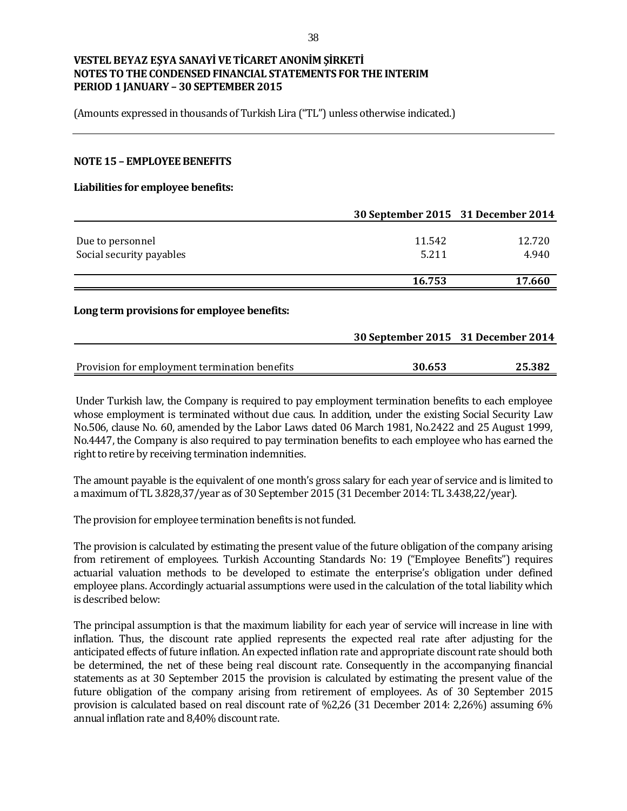(Amounts expressed in thousands of Turkish Lira ("TL") unless otherwise indicated.)

### **NOTE 15 – EMPLOYEE BENEFITS**

#### **Liabilities for employee benefits:**

|                                             | 30 September 2015 31 December 2014 |        |
|---------------------------------------------|------------------------------------|--------|
|                                             | 11.542                             |        |
| Due to personnel                            |                                    | 12.720 |
| Social security payables                    | 5.211                              | 4.940  |
|                                             | 16.753                             | 17.660 |
| Long term provisions for employee benefits: |                                    |        |
|                                             | 30 September 2015 31 December 2014 |        |

| Provision for employment termination benefits | 30.653 | 25.382 |
|-----------------------------------------------|--------|--------|

Under Turkish law, the Company is required to pay employment termination benefits to each employee whose employment is terminated without due caus. In addition, under the existing Social Security Law No.506, clause No. 60, amended by the Labor Laws dated 06 March 1981, No.2422 and 25 August 1999, No.4447, the Company is also required to pay termination benefits to each employee who has earned the right to retire by receiving termination indemnities.

The amount payable is the equivalent of one month's gross salary for each year of service and is limited to a maximum of TL 3.828,37/year as of 30 September 2015 (31 December 2014: TL 3.438,22/year).

The provision for employee termination benefits is not funded.

The provision is calculated by estimating the present value of the future obligation of the company arising from retirement of employees. Turkish Accounting Standards No: 19 ("Employee Benefits") requires actuarial valuation methods to be developed to estimate the enterprise's obligation under defined employee plans. Accordingly actuarial assumptions were used in the calculation of the total liability which is described below:

The principal assumption is that the maximum liability for each year of service will increase in line with inflation. Thus, the discount rate applied represents the expected real rate after adjusting for the anticipated effects of future inflation. An expected inflation rate and appropriate discount rate should both be determined, the net of these being real discount rate. Consequently in the accompanying financial statements as at 30 September 2015 the provision is calculated by estimating the present value of the future obligation of the company arising from retirement of employees. As of 30 September 2015 provision is calculated based on real discount rate of %2,26 (31 December 2014: 2,26%) assuming 6% annual inflation rate and 8,40% discount rate.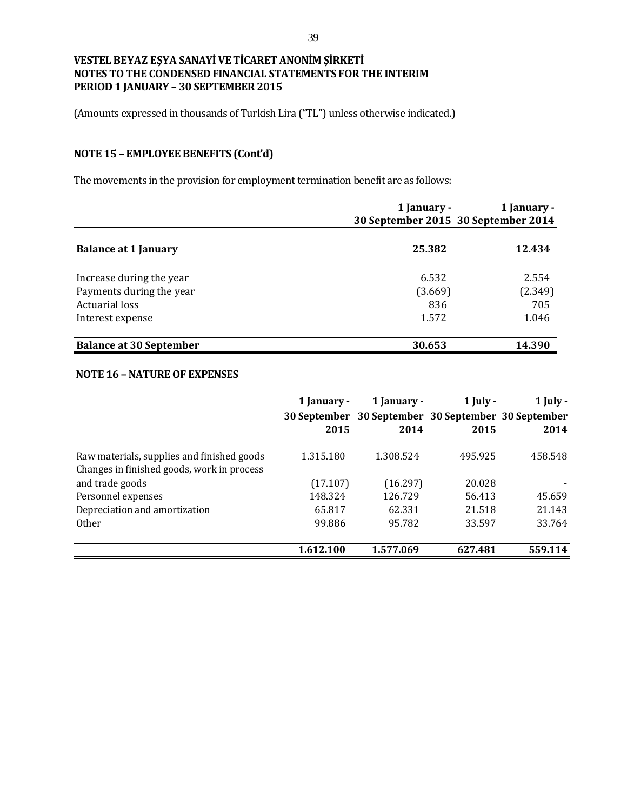(Amounts expressed in thousands of Turkish Lira ("TL") unless otherwise indicated.)

# **NOTE 15 – EMPLOYEE BENEFITS (Cont'd)**

The movements in the provision for employment termination benefit are as follows:

|                                | 1 January -<br>30 September 2015 30 September 2014 | 1 January - |
|--------------------------------|----------------------------------------------------|-------------|
| <b>Balance at 1 January</b>    | 25.382                                             | 12.434      |
| Increase during the year       | 6.532                                              | 2.554       |
| Payments during the year       | (3.669)                                            | (2.349)     |
| Actuarial loss                 | 836                                                | 705         |
| Interest expense               | 1.572                                              | 1.046       |
| <b>Balance at 30 September</b> | 30.653                                             | 14.390      |

### **NOTE 16 –NATURE OF EXPENSES**

|                                                                                          | 1 January -<br>2015 | 1 January -<br>30 September 30 September 30 September 30 September<br>2014 | $1$ July -<br>2015 | $1$ July -<br>2014 |
|------------------------------------------------------------------------------------------|---------------------|----------------------------------------------------------------------------|--------------------|--------------------|
| Raw materials, supplies and finished goods<br>Changes in finished goods, work in process | 1.315.180           | 1.308.524                                                                  | 495.925            | 458.548            |
| and trade goods                                                                          | (17.107)            | (16.297)                                                                   | 20.028             |                    |
| Personnel expenses                                                                       | 148.324             | 126.729                                                                    | 56.413             | 45.659             |
| Depreciation and amortization                                                            | 65.817              | 62.331                                                                     | 21.518             | 21.143             |
| <b>Other</b>                                                                             | 99.886              | 95.782                                                                     | 33.597             | 33.764             |
|                                                                                          | 1.612.100           | 1.577.069                                                                  | 627.481            | 559.114            |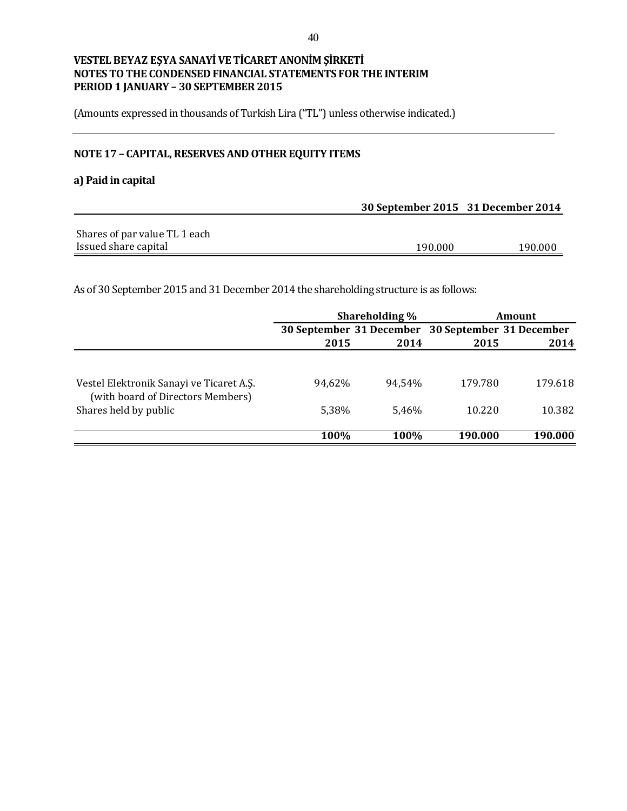(Amounts expressed in thousands of Turkish Lira ("TL") unless otherwise indicated.)

# **NOTE 17 – CAPITAL, RESERVES AND OTHER EQUITY ITEMS**

### **a) Paid in capital**

|                               | 30 September 2015 31 December 2014 |         |
|-------------------------------|------------------------------------|---------|
|                               |                                    |         |
| Shares of par value TL 1 each |                                    |         |
| Issued share capital          | 190.000                            | 190.000 |

As of 30 September 2015 and 31 December 2014 the shareholding structure is as follows:

|                                                                               |        | Shareholding % |                                                   | Amount  |
|-------------------------------------------------------------------------------|--------|----------------|---------------------------------------------------|---------|
|                                                                               |        |                | 30 September 31 December 30 September 31 December |         |
|                                                                               | 2015   | 2014           | 2015                                              | 2014    |
|                                                                               |        |                |                                                   |         |
| Vestel Elektronik Sanayi ve Ticaret A.S.<br>(with board of Directors Members) | 94,62% | 94.54%         | 179.780                                           | 179.618 |
| Shares held by public                                                         | 5,38%  | 5.46%          | 10.220                                            | 10.382  |
|                                                                               | 100%   | 100%           | 190.000                                           | 190.000 |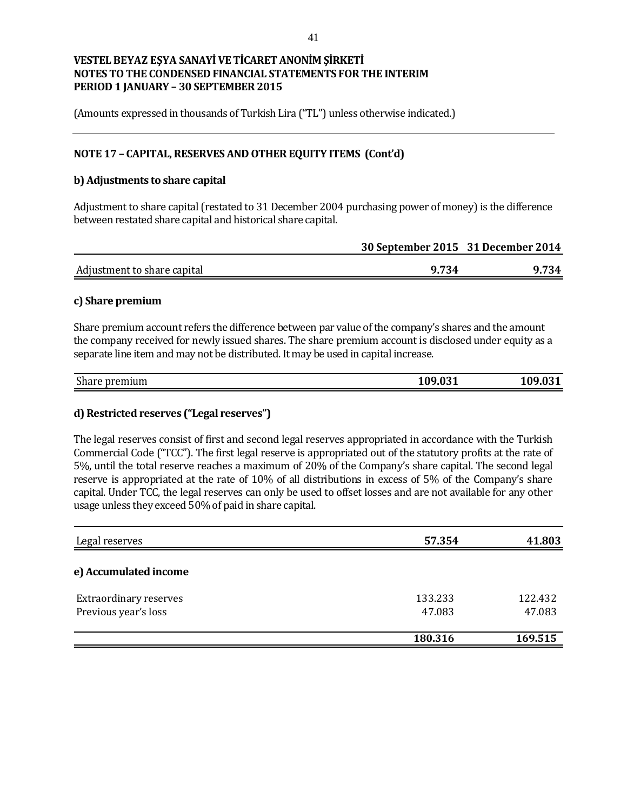(Amounts expressed in thousands of Turkish Lira ("TL") unless otherwise indicated.)

### **NOTE 17 – CAPITAL, RESERVES AND OTHER EQUITY ITEMS (Cont'd)**

### **b) Adjustments to share capital**

Adjustment to share capital (restated to 31 December 2004 purchasing power of money) is the difference between restated share capital and historical share capital.

|                             | 30 September 2015 31 December 2014 |       |
|-----------------------------|------------------------------------|-------|
| Adjustment to share capital | 9.734                              | 9.734 |

### **c) Share premium**

Share premium account refers the difference between par value of the company's shares and the amount the company received for newly issued shares. The share premium account is disclosed under equity as a separate line item and may not be distributed. It may be used in capital increase.

| $\sim$<br>emium<br>share<br>- 11 | 0.0.09<br>7.VJ 1 | $\mathbf{a}$<br>VJ 1 |
|----------------------------------|------------------|----------------------|
|                                  |                  |                      |

### **d) Restricted reserves ("Legal reserves")**

The legal reserves consist of first and second legal reserves appropriated in accordance with the Turkish Commercial Code ("TCC"). The first legal reserve is appropriated out of the statutory profits at the rate of 5%, until the total reserve reaches a maximum of 20% of the Company's share capital. The second legal reserve is appropriated at the rate of 10% of all distributions in excess of 5% of the Company's share capital. Under TCC, the legal reserves can only be used to offset losses and are not available for any other usage unless they exceed 50% of paid in share capital.

| Legal reserves                | 57.354  | 41.803  |
|-------------------------------|---------|---------|
| e) Accumulated income         |         |         |
| <b>Extraordinary reserves</b> | 133.233 | 122.432 |
| Previous year's loss          | 47.083  | 47.083  |
|                               | 180.316 | 169.515 |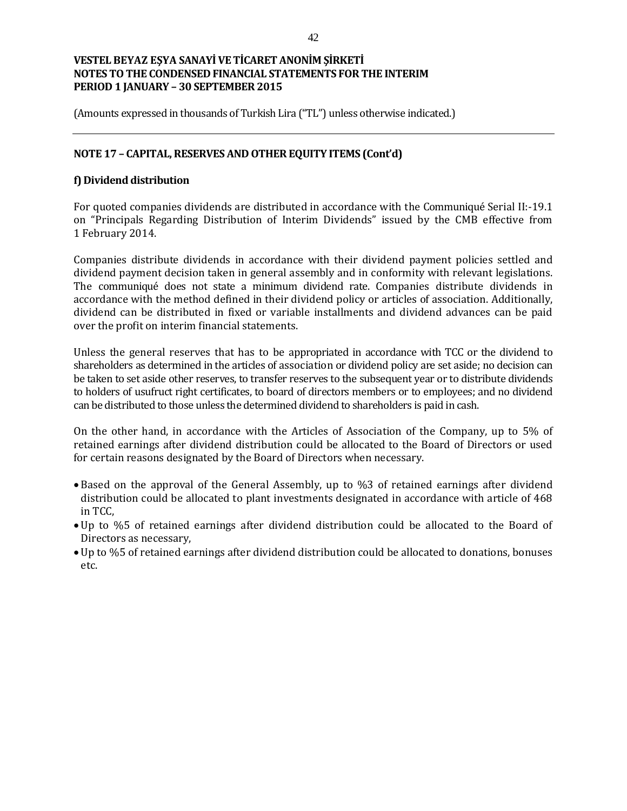(Amounts expressed in thousands of Turkish Lira ("TL") unless otherwise indicated.)

### **NOTE 17 – CAPITAL, RESERVES AND OTHER EQUITY ITEMS (Cont'd)**

### **f) Dividend distribution**

For quoted companies dividends are distributed in accordance with the Communiqué Serial II:-19.1 on "Principals Regarding Distribution of Interim Dividends" issued by the CMB effective from 1 February 2014.

Companies distribute dividends in accordance with their dividend payment policies settled and dividend payment decision taken in general assembly and in conformity with relevant legislations. The communiqué does not state a minimum dividend rate. Companies distribute dividends in accordance with the method defined in their dividend policy or articles of association. Additionally, dividend can be distributed in fixed or variable installments and dividend advances can be paid over the profit on interim financial statements.

Unless the general reserves that has to be appropriated in accordance with TCC or the dividend to shareholders as determined in the articles of association or dividend policy are set aside; no decision can be taken to set aside other reserves, to transfer reserves to the subsequent year or to distribute dividends to holders of usufruct right certificates, to board of directors members or to employees; and no dividend can be distributed to those unless the determined dividend to shareholders is paid in cash.

On the other hand, in accordance with the Articles of Association of the Company, up to 5% of retained earnings after dividend distribution could be allocated to the Board of Directors or used for certain reasons designated by the Board of Directors when necessary.

- Based on the approval of the General Assembly, up to %3 of retained earnings after dividend distribution could be allocated to plant investments designated in accordance with article of 468 in TCC,
- Up to %5 of retained earnings after dividend distribution could be allocated to the Board of Directors as necessary,
- Up to %5 of retained earnings after dividend distribution could be allocated to donations, bonuses etc.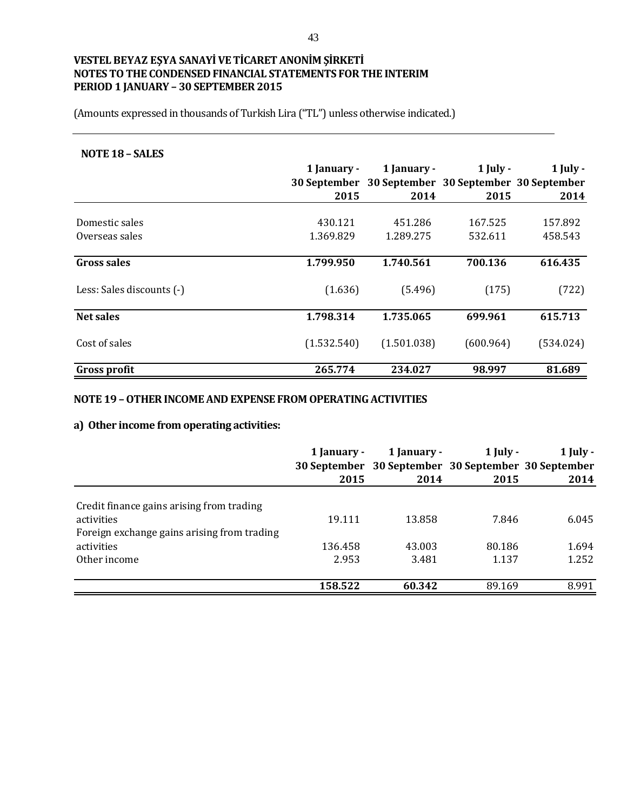(Amounts expressed in thousands of Turkish Lira ("TL") unless otherwise indicated.)

#### **NOTE 18 – SALES**

|                           | 1 January - | 1 January -                                         | $1$ July - | $1$ July - |
|---------------------------|-------------|-----------------------------------------------------|------------|------------|
|                           |             | 30 September 30 September 30 September 30 September |            |            |
|                           | 2015        | 2014                                                | 2015       | 2014       |
|                           |             |                                                     |            |            |
| Domestic sales            | 430.121     | 451.286                                             | 167.525    | 157.892    |
| Overseas sales            | 1.369.829   | 1.289.275                                           | 532.611    | 458.543    |
|                           |             |                                                     |            |            |
| Gross sales               | 1.799.950   | 1.740.561                                           | 700.136    | 616.435    |
| Less: Sales discounts (-) | (1.636)     | (5.496)                                             | (175)      | (722)      |
| <b>Net sales</b>          | 1.798.314   | 1.735.065                                           | 699.961    | 615.713    |
| Cost of sales             | (1.532.540) | (1.501.038)                                         | (600.964)  | (534.024)  |
| Gross profit              | 265.774     | 234.027                                             | 98.997     | 81.689     |

### **NOTE 19 –OTHER INCOME AND EXPENSE FROM OPERATING ACTIVITIES**

# **a) Other income from operating activities:**

|                                                           | 1 January - | 1 January -<br>30 September 30 September 30 September 30 September | $1$ July - | $1$ July - |
|-----------------------------------------------------------|-------------|--------------------------------------------------------------------|------------|------------|
|                                                           | 2015        | 2014                                                               | 2015       | 2014       |
| Credit finance gains arising from trading                 |             |                                                                    |            |            |
| activities<br>Foreign exchange gains arising from trading | 19.111      | 13.858                                                             | 7.846      | 6.045      |
| activities                                                | 136.458     | 43.003                                                             | 80.186     | 1.694      |
| Other income                                              | 2.953       | 3.481                                                              | 1.137      | 1.252      |
|                                                           | 158.522     | 60.342                                                             | 89.169     | 8.991      |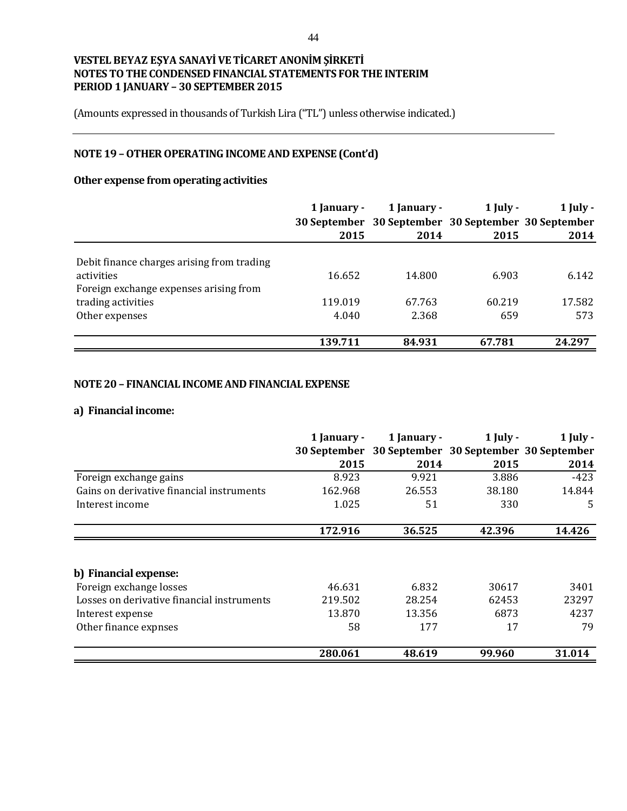(Amounts expressed in thousands of Turkish Lira ("TL") unless otherwise indicated.)

# **NOTE 19 –OTHER OPERATING INCOME AND EXPENSE (Cont'd)**

# **Other expense from operating activities**

|                                            | 1 January - | 1 January -                                         | $1$ July - | $1$ July - |
|--------------------------------------------|-------------|-----------------------------------------------------|------------|------------|
|                                            |             | 30 September 30 September 30 September 30 September |            |            |
|                                            | 2015        | 2014                                                | 2015       | 2014       |
|                                            |             |                                                     |            |            |
| Debit finance charges arising from trading |             |                                                     |            |            |
| activities                                 | 16.652      | 14.800                                              | 6.903      | 6.142      |
| Foreign exchange expenses arising from     |             |                                                     |            |            |
| trading activities                         | 119.019     | 67.763                                              | 60.219     | 17.582     |
| Other expenses                             | 4.040       | 2.368                                               | 659        | 573        |
|                                            | 139.711     | 84.931                                              | 67.781     | 24.297     |

### **NOTE 20 – FINANCIAL INCOME AND FINANCIAL EXPENSE**

#### **a) Financial income:**

|                                            | 1 January -                 | 1 January - | $1$ July -                                     | $1$ July - |
|--------------------------------------------|-----------------------------|-------------|------------------------------------------------|------------|
|                                            | <b>30 September</b><br>2015 | 2014        | 30 September 30 September 30 September<br>2015 | 2014       |
| Foreign exchange gains                     | 8.923                       | 9.921       | 3.886                                          | $-423$     |
| Gains on derivative financial instruments  | 162.968                     | 26.553      | 38.180                                         | 14.844     |
| Interest income                            | 1.025                       | 51          | 330                                            | 5          |
|                                            | 172.916                     | 36.525      | 42.396                                         | 14.426     |
|                                            |                             |             |                                                |            |
| b) Financial expense:                      |                             |             |                                                |            |
| Foreign exchange losses                    | 46.631                      | 6.832       | 30617                                          | 3401       |
| Losses on derivative financial instruments | 219.502                     | 28.254      | 62453                                          | 23297      |
| Interest expense                           | 13.870                      | 13.356      | 6873                                           | 4237       |
| Other finance expnses                      | 58                          | 177         | 17                                             | 79         |
|                                            | 280.061                     | 48.619      | 99.960                                         | 31.014     |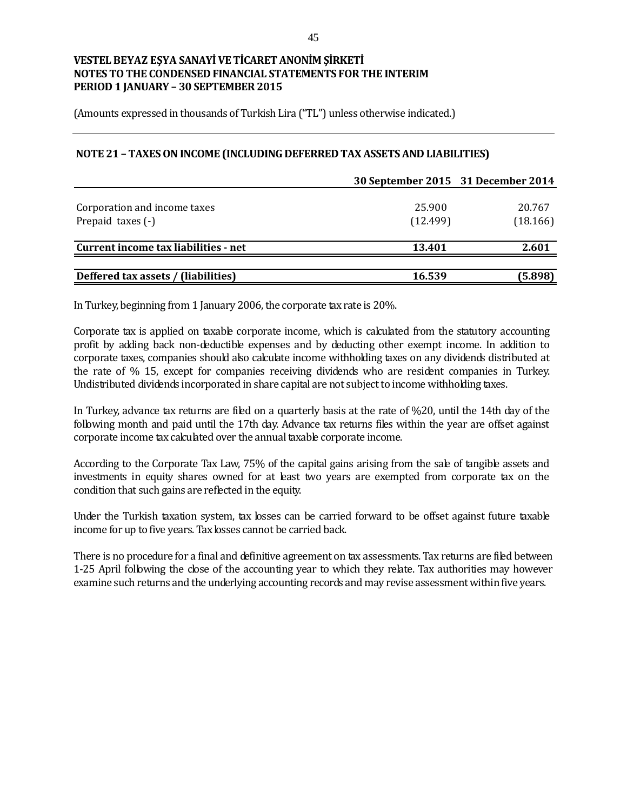(Amounts expressed in thousands of Turkish Lira ("TL") unless otherwise indicated.)

### **NOTE 21 –TAXES ON INCOME (INCLUDING DEFERRED TAX ASSETS AND LIABILITIES)**

|                                      | 30 September 2015 31 December 2014 |          |
|--------------------------------------|------------------------------------|----------|
|                                      |                                    |          |
| Corporation and income taxes         | 25.900                             | 20.767   |
| Prepaid taxes (-)                    | (12.499)                           | (18.166) |
| Current income tax liabilities - net | 13.401                             | 2.601    |
|                                      |                                    |          |
| Deffered tax assets / (liabilities)  | 16.539                             | (5.898)  |

In Turkey, beginning from 1 January 2006, the corporate tax rate is 20%.

Corporate tax is applied on taxable corporate income, which is calculated from the statutory accounting profit by adding back non-deductible expenses and by deducting other exempt income. In addition to corporate taxes, companies should also calculate income withholding taxes on any dividends distributed at the rate of % 15, except for companies receiving dividends who are resident companies in Turkey. Undistributed dividends incorporated in share capital are not subject to income withholding taxes.

In Turkey, advance tax returns are filed on a quarterly basis at the rate of %20, until the 14th day of the following month and paid until the 17th day. Advance tax returns files within the year are offset against corporate income tax calculated over the annual taxable corporate income.

According to the Corporate Tax Law, 75% of the capital gains arising from the sale of tangible assets and investments in equity shares owned for at least two years are exempted from corporate tax on the condition that such gains are reflected in the equity.

Under the Turkish taxation system, tax losses can be carried forward to be offset against future taxable income for up to five years. Tax losses cannot be carried back.

There is no procedure for a final and definitive agreement on tax assessments. Tax returns are filed between 1-25 April following the close of the accounting year to which they relate. Tax authorities may however examine such returns and the underlying accounting records and may revise assessment within five years.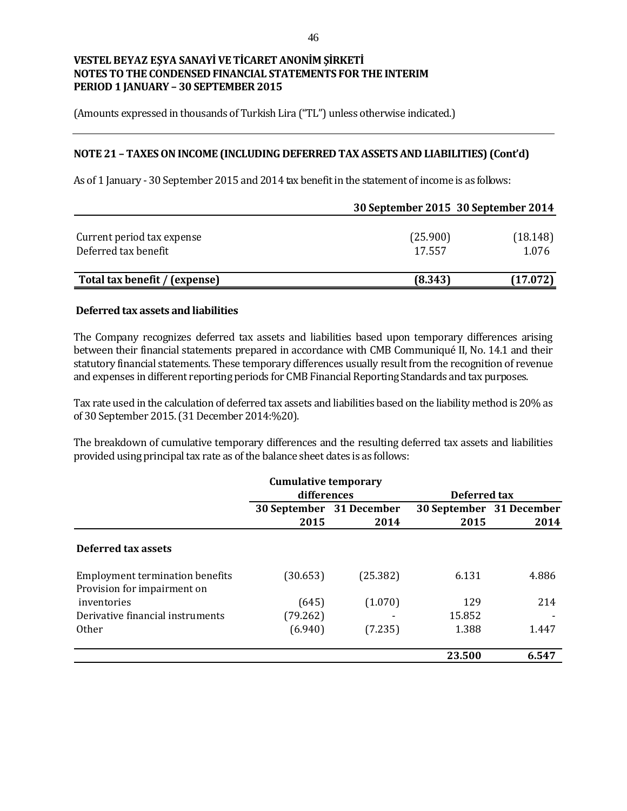(Amounts expressed in thousands of Turkish Lira ("TL") unless otherwise indicated.)

### **NOTE 21 – TAXES ON INCOME (INCLUDING DEFERRED TAX ASSETS AND LIABILITIES) (Cont'd)**

As of 1 January - 30 September 2015 and 2014 tax benefit in the statement of income is as follows:

|                                                    |                    | 30 September 2015 30 September 2014 |
|----------------------------------------------------|--------------------|-------------------------------------|
| Current period tax expense<br>Deferred tax benefit | (25.900)<br>17.557 | (18.148)<br>1.076                   |
| Total tax benefit / (expense)                      | (8.343)            | (17.072)                            |

#### **Deferred tax assets and liabilities**

The Company recognizes deferred tax assets and liabilities based upon temporary differences arising between their financial statements prepared in accordance with CMB Communiqué II, No. 14.1 and their statutory financial statements. These temporary differences usually result from the recognition of revenue and expenses in different reporting periods for CMB Financial Reporting Standards and tax purposes.

Tax rate used in the calculation of deferred tax assets and liabilities based on the liability method is 20% as of 30 September 2015. (31 December 2014:%20).

The breakdown of cumulative temporary differences and the resulting deferred tax assets and liabilities provided using principal tax rate as of the balance sheet dates is as follows:

|                                                                       | <b>Cumulative temporary</b> |                          |                          |              |  |
|-----------------------------------------------------------------------|-----------------------------|--------------------------|--------------------------|--------------|--|
|                                                                       | differences                 |                          |                          | Deferred tax |  |
|                                                                       |                             | 30 September 31 December | 30 September 31 December |              |  |
|                                                                       | 2015                        | 2014                     | 2015                     | 2014         |  |
| <b>Deferred tax assets</b>                                            |                             |                          |                          |              |  |
| <b>Employment termination benefits</b><br>Provision for impairment on | (30.653)                    | (25.382)                 | 6.131                    | 4.886        |  |
| inventories                                                           | (645)                       | (1.070)                  | 129                      | 214          |  |
| Derivative financial instruments                                      | (79.262)                    |                          | 15.852                   |              |  |
| 0 <sub>ther</sub>                                                     | (6.940)                     | (7.235)                  | 1.388                    | 1.447        |  |
|                                                                       |                             |                          | 23.500                   | 6.547        |  |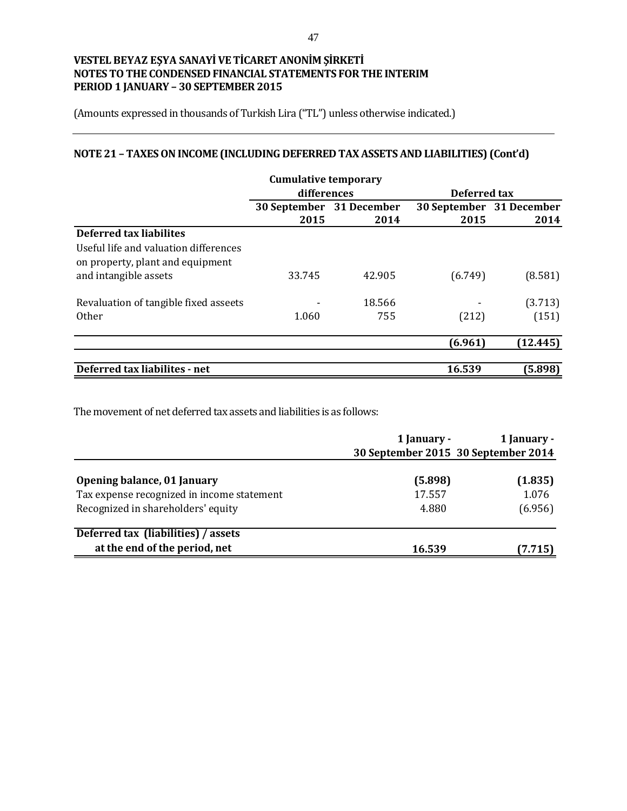(Amounts expressed in thousands of Turkish Lira ("TL") unless otherwise indicated.)

# **NOTE 21 – TAXES ON INCOME (INCLUDING DEFERRED TAX ASSETS AND LIABILITIES) (Cont'd)**

|                                       | <b>Cumulative temporary</b> |        |                          |              |  |
|---------------------------------------|-----------------------------|--------|--------------------------|--------------|--|
|                                       | differences                 |        |                          | Deferred tax |  |
|                                       | 30 September 31 December    |        | 30 September 31 December |              |  |
|                                       | 2015                        | 2014   | 2015                     | 2014         |  |
| <b>Deferred tax liabilites</b>        |                             |        |                          |              |  |
| Useful life and valuation differences |                             |        |                          |              |  |
| on property, plant and equipment      |                             |        |                          |              |  |
| and intangible assets                 | 33.745                      | 42.905 | (6.749)                  | (8.581)      |  |
|                                       |                             |        |                          |              |  |
| Revaluation of tangible fixed asseets |                             | 18.566 |                          | (3.713)      |  |
| 0ther                                 | 1.060                       | 755    | (212)                    | (151)        |  |
|                                       |                             |        |                          |              |  |
|                                       |                             |        | (6.961)                  | (12.445)     |  |
|                                       |                             |        |                          |              |  |
| Deferred tax liabilites - net         |                             |        | 16.539                   | (5.898)      |  |

The movement of net deferred tax assets and liabilities is as follows:

|                                                                           | 1 January -       | 1 January -<br>30 September 2015 30 September 2014 |
|---------------------------------------------------------------------------|-------------------|----------------------------------------------------|
| Opening balance, 01 January<br>Tax expense recognized in income statement | (5.898)<br>17.557 | (1.835)<br>1.076                                   |
| Recognized in shareholders' equity                                        | 4.880             | (6.956)                                            |
| Deferred tax (liabilities) / assets                                       |                   |                                                    |
| at the end of the period, net                                             | 16.539            | (7.715)                                            |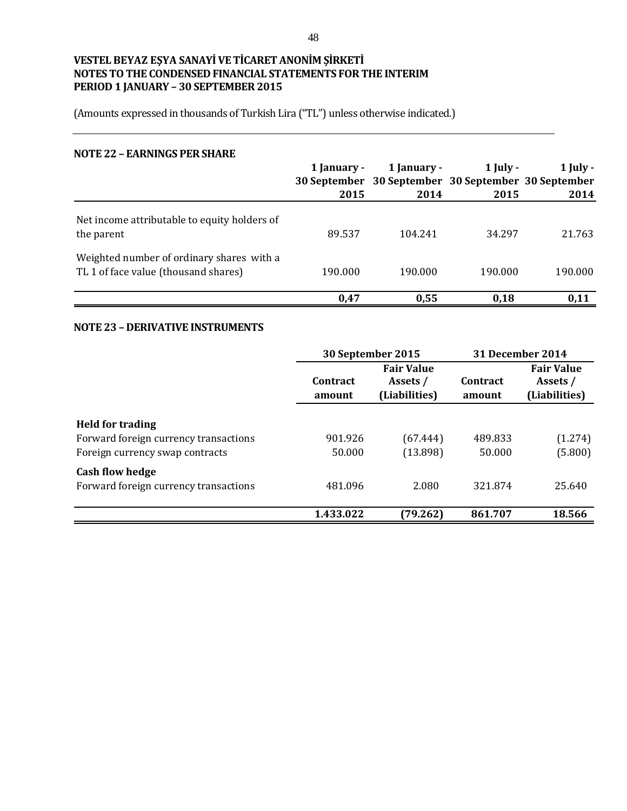(Amounts expressed in thousands of Turkish Lira ("TL") unless otherwise indicated.)

#### **NOTE 22 – EARNINGS PER SHARE**

|                                                                                   | 1 January -<br>2015 | 1 January -<br>30 September 30 September 30 September 30 September<br>2014 | $1$ July -<br>2015 | $1$ July -<br>2014 |
|-----------------------------------------------------------------------------------|---------------------|----------------------------------------------------------------------------|--------------------|--------------------|
| Net income attributable to equity holders of<br>the parent                        | 89.537              | 104.241                                                                    | 34.297             | 21.763             |
| Weighted number of ordinary shares with a<br>TL 1 of face value (thousand shares) | 190.000             | 190.000                                                                    | 190.000            | 190.000            |
|                                                                                   | 0.47                | 0.55                                                                       | 0.18               | 0,11               |

### **NOTE 23 – DERIVATIVE INSTRUMENTS**

|                                                                                                     |                           | 30 September 2015                              |                           | 31 December 2014                               |  |
|-----------------------------------------------------------------------------------------------------|---------------------------|------------------------------------------------|---------------------------|------------------------------------------------|--|
|                                                                                                     | <b>Contract</b><br>amount | <b>Fair Value</b><br>Assets /<br>(Liabilities) | <b>Contract</b><br>amount | <b>Fair Value</b><br>Assets /<br>(Liabilities) |  |
| <b>Held for trading</b><br>Forward foreign currency transactions<br>Foreign currency swap contracts | 901.926<br>50.000         | (67.444)<br>(13.898)                           | 489.833<br>50.000         | (1.274)<br>(5.800)                             |  |
| <b>Cash flow hedge</b><br>Forward foreign currency transactions                                     | 481.096                   | 2.080                                          | 321.874                   | 25.640                                         |  |
|                                                                                                     | 1.433.022                 | (79.262)                                       | 861.707                   | 18.566                                         |  |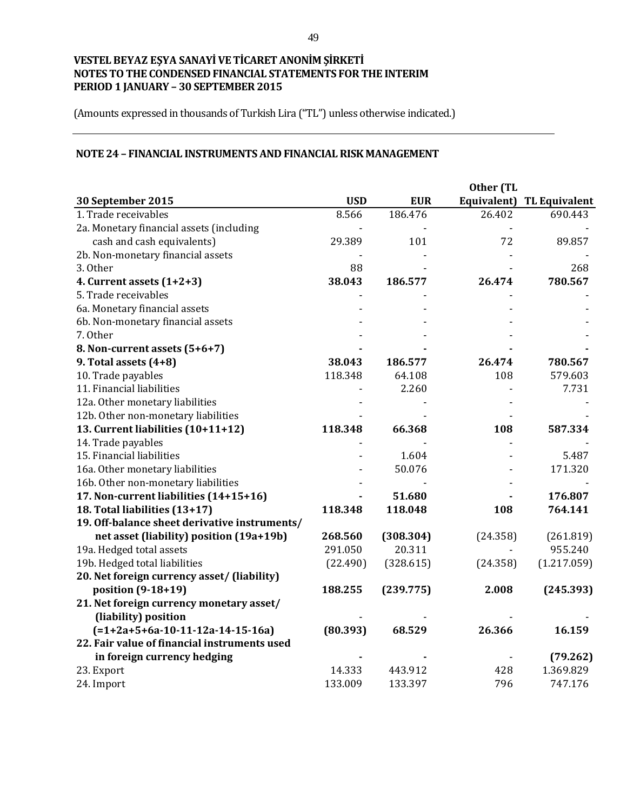(Amounts expressed in thousands of Turkish Lira ("TL") unless otherwise indicated.)

### **NOTE 24 – FINANCIAL INSTRUMENTS AND FINANCIAL RISK MANAGEMENT**

| 30 September 2015                             | <b>USD</b> | <b>EUR</b> | Equivalent) | <b>TL Equivalent</b> |
|-----------------------------------------------|------------|------------|-------------|----------------------|
| 1. Trade receivables                          | 8.566      | 186.476    | 26.402      | 690.443              |
| 2a. Monetary financial assets (including      |            |            |             |                      |
| cash and cash equivalents)                    | 29.389     | 101        | 72          | 89.857               |
| 2b. Non-monetary financial assets             |            |            |             |                      |
| 3. Other                                      | 88         |            |             | 268                  |
| 4. Current assets (1+2+3)                     | 38.043     | 186.577    | 26.474      | 780.567              |
| 5. Trade receivables                          |            |            |             |                      |
| 6a. Monetary financial assets                 |            |            |             |                      |
| 6b. Non-monetary financial assets             |            |            |             |                      |
| 7. Other                                      |            |            |             |                      |
| 8. Non-current assets (5+6+7)                 |            |            |             |                      |
| 9. Total assets $(4+8)$                       | 38.043     | 186.577    | 26.474      | 780.567              |
| 10. Trade payables                            | 118.348    | 64.108     | 108         | 579.603              |
| 11. Financial liabilities                     |            | 2.260      |             | 7.731                |
| 12a. Other monetary liabilities               |            |            |             |                      |
| 12b. Other non-monetary liabilities           |            |            |             |                      |
| 13. Current liabilities (10+11+12)            | 118.348    | 66.368     | 108         | 587.334              |
| 14. Trade payables                            |            |            |             |                      |
| 15. Financial liabilities                     |            | 1.604      |             | 5.487                |
| 16a. Other monetary liabilities               |            | 50.076     |             | 171.320              |
| 16b. Other non-monetary liabilities           |            |            |             |                      |
| 17. Non-current liabilities (14+15+16)        |            | 51.680     |             | 176.807              |
| 18. Total liabilities (13+17)                 | 118.348    | 118.048    | 108         | 764.141              |
| 19. Off-balance sheet derivative instruments/ |            |            |             |                      |
| net asset (liability) position (19a+19b)      | 268.560    | (308.304)  | (24.358)    | (261.819)            |
| 19a. Hedged total assets                      | 291.050    | 20.311     |             | 955.240              |
| 19b. Hedged total liabilities                 | (22.490)   | (328.615)  | (24.358)    | (1.217.059)          |
| 20. Net foreign currency asset/ (liability)   |            |            |             |                      |
| position (9-18+19)                            | 188.255    | (239.775)  | 2.008       | (245.393)            |
| 21. Net foreign currency monetary asset/      |            |            |             |                      |
| (liability) position                          |            |            |             |                      |
| $(=1+2a+5+6a-10-11-12a-14-15-16a)$            | (80.393)   | 68.529     | 26.366      | 16.159               |
| 22. Fair value of financial instruments used  |            |            |             |                      |
| in foreign currency hedging                   |            |            |             | (79.262)             |
| 23. Export                                    | 14.333     | 443.912    | 428         | 1.369.829            |
| 24. Import                                    | 133.009    | 133.397    | 796         | 747.176              |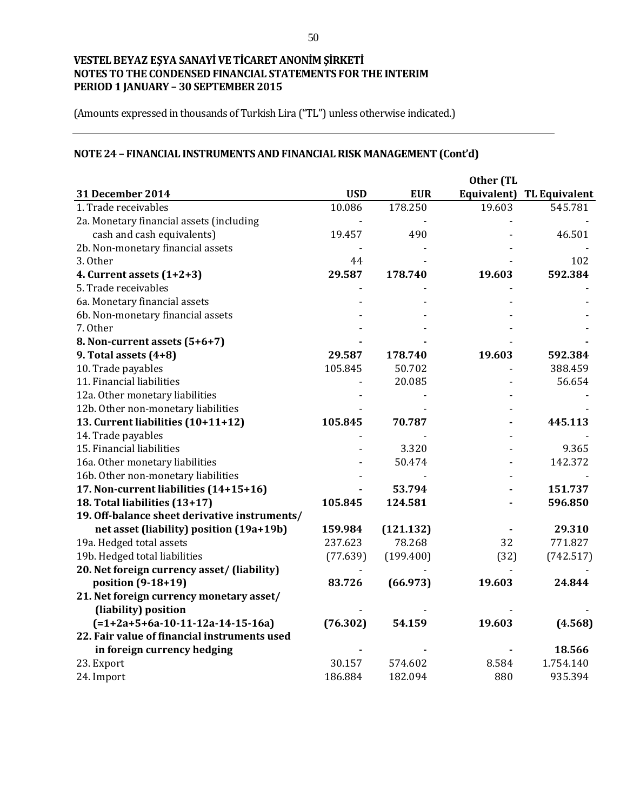(Amounts expressed in thousands of Turkish Lira ("TL") unless otherwise indicated.)

# **NOTE 24 – FINANCIAL INSTRUMENTS AND FINANCIAL RISK MANAGEMENT (Cont'd)**

|                                               |            | Other (TL  |             |                      |
|-----------------------------------------------|------------|------------|-------------|----------------------|
| <b>31 December 2014</b>                       | <b>USD</b> | <b>EUR</b> | Equivalent) | <b>TL Equivalent</b> |
| 1. Trade receivables                          | 10.086     | 178.250    | 19.603      | 545.781              |
| 2a. Monetary financial assets (including      |            |            |             |                      |
| cash and cash equivalents)                    | 19.457     | 490        |             | 46.501               |
| 2b. Non-monetary financial assets             |            |            |             |                      |
| 3. Other                                      | 44         |            |             | 102                  |
| 4. Current assets (1+2+3)                     | 29.587     | 178.740    | 19.603      | 592.384              |
| 5. Trade receivables                          |            |            |             |                      |
| 6a. Monetary financial assets                 |            |            |             |                      |
| 6b. Non-monetary financial assets             |            |            |             |                      |
| 7. Other                                      |            |            |             |                      |
| 8. Non-current assets (5+6+7)                 |            |            |             |                      |
| 9. Total assets $(4+8)$                       | 29.587     | 178.740    | 19.603      | 592.384              |
| 10. Trade payables                            | 105.845    | 50.702     |             | 388.459              |
| 11. Financial liabilities                     |            | 20.085     |             | 56.654               |
| 12a. Other monetary liabilities               |            |            |             |                      |
| 12b. Other non-monetary liabilities           |            |            |             |                      |
| 13. Current liabilities (10+11+12)            | 105.845    | 70.787     |             | 445.113              |
| 14. Trade payables                            |            |            |             |                      |
| 15. Financial liabilities                     |            | 3.320      |             | 9.365                |
| 16a. Other monetary liabilities               |            | 50.474     |             | 142.372              |
| 16b. Other non-monetary liabilities           |            |            |             |                      |
| 17. Non-current liabilities (14+15+16)        |            | 53.794     |             | 151.737              |
| 18. Total liabilities (13+17)                 | 105.845    | 124.581    |             | 596.850              |
| 19. Off-balance sheet derivative instruments/ |            |            |             |                      |
| net asset (liability) position (19a+19b)      | 159.984    | (121.132)  |             | 29.310               |
| 19a. Hedged total assets                      | 237.623    | 78.268     | 32          | 771.827              |
| 19b. Hedged total liabilities                 | (77.639)   | (199.400)  | (32)        | (742.517)            |
| 20. Net foreign currency asset/ (liability)   |            |            |             |                      |
| position (9-18+19)                            | 83.726     | (66.973)   | 19.603      | 24.844               |
| 21. Net foreign currency monetary asset/      |            |            |             |                      |
| (liability) position                          |            |            |             |                      |
| $(=1+2a+5+6a-10-11-12a-14-15-16a)$            | (76.302)   | 54.159     | 19.603      | (4.568)              |
| 22. Fair value of financial instruments used  |            |            |             |                      |
| in foreign currency hedging                   |            |            |             | 18.566               |
| 23. Export                                    | 30.157     | 574.602    | 8.584       | 1.754.140            |
| 24. Import                                    | 186.884    | 182.094    | 880         | 935.394              |
|                                               |            |            |             |                      |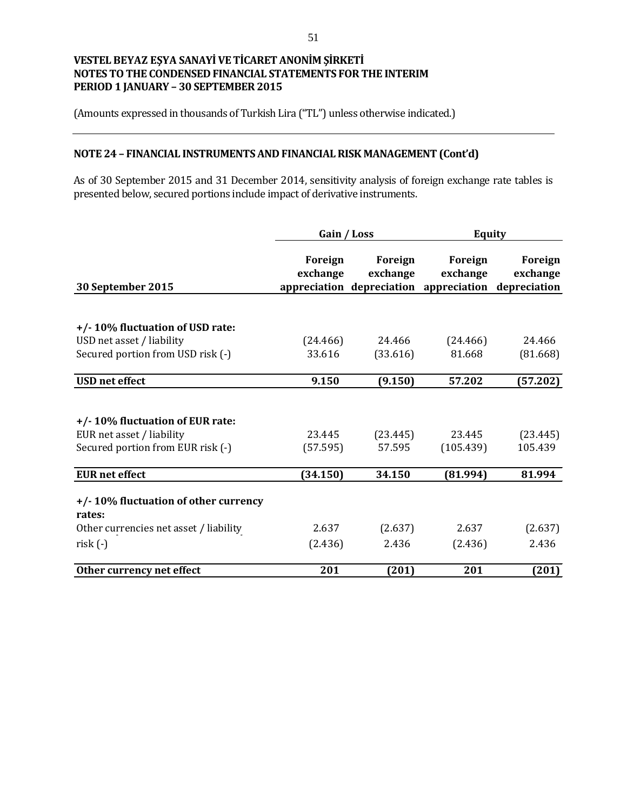(Amounts expressed in thousands of Turkish Lira ("TL") unless otherwise indicated.)

# **NOTE 24 – FINANCIAL INSTRUMENTS AND FINANCIAL RISK MANAGEMENT (Cont'd)**

As of 30 September 2015 and 31 December 2014, sensitivity analysis of foreign exchange rate tables is presented below, secured portions include impact of derivative instruments.

|                                                | Gain / Loss         |                     | <b>Equity</b>                                                              |                     |
|------------------------------------------------|---------------------|---------------------|----------------------------------------------------------------------------|---------------------|
| 30 September 2015                              | Foreign<br>exchange | Foreign<br>exchange | Foreign<br>exchange<br>appreciation depreciation appreciation depreciation | Foreign<br>exchange |
|                                                |                     |                     |                                                                            |                     |
| +/-10% fluctuation of USD rate:                |                     |                     |                                                                            |                     |
| USD net asset / liability                      | (24.466)            | 24.466              | (24.466)                                                                   | 24.466              |
| Secured portion from USD risk (-)              | 33.616              | (33.616)            | 81.668                                                                     | (81.668)            |
| <b>USD</b> net effect                          | 9.150               | (9.150)             | 57.202                                                                     | (57.202)            |
|                                                |                     |                     |                                                                            |                     |
| +/-10% fluctuation of EUR rate:                |                     |                     |                                                                            |                     |
| EUR net asset / liability                      | 23.445              | (23.445)            | 23.445                                                                     | (23.445)            |
| Secured portion from EUR risk (-)              | (57.595)            | 57.595              | (105.439)                                                                  | 105.439             |
| <b>EUR</b> net effect                          | (34.150)            | 34.150              | (81.994)                                                                   | 81.994              |
| +/-10% fluctuation of other currency<br>rates: |                     |                     |                                                                            |                     |
| Other currencies net asset / liability         | 2.637               | (2.637)             | 2.637                                                                      | (2.637)             |
| $risk(-)$                                      | (2.436)             | 2.436               | (2.436)                                                                    | 2.436               |
| Other currency net effect                      | 201                 | (201)               | 201                                                                        | (201)               |